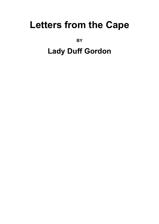# **Letters from the Cape**

**BY** 

## **Lady Duff Gordon**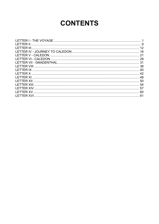## **CONTENTS**

| I FTTFR XI        |  |
|-------------------|--|
|                   |  |
|                   |  |
| <b>LETTER XIV</b> |  |
|                   |  |
|                   |  |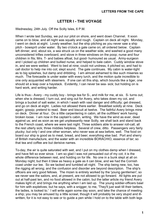#### **LETTER I - THE VOYAGE**

<span id="page-2-0"></span>Wednesday, 24th July. Off the Scilly Isles, 6 P.M.

When I wrote last Sunday, we put our pilot on shore, and went down Channel. It soon came on to blow, and all night was squally and rough. Captain on deck all night. Monday, I went on deck at eight. Lovely weather, but the ship pitching as you never saw a ship pitch - bowsprit under water. By two o'clock a gale came on; all ordered below. Captain left dinner, and, about six, a sea struck us on the weather side, and washed a good many unconsidered trifles overboard, and stove in three windows on the poop; nurse and four children in fits; Mrs. T- and babies afloat, but good- humoured as usual. Army-surgeon and I picked up children and bullied nurse, and helped to bale cabin. Cuddy window stove in, and we were wetted. Went to bed at nine; could not undress, it pitched so, and had to call doctor to help me into cot; slept sound. The gale continues. My cabin is water-tight as to big splashes, but damp and dribbling. I am almost ashamed to like such miseries so much. The forecastle is under water with every lurch, and the motion quite incredible to one only acquainted with steamers. If one can sit this ship, which bounds like a tiger, one should sit a leap over a haystack. Evidently, I can never be sea- sick; but holding on is hard work, and writing harder.

Life is thus:- Avery - my cuddy boy - brings tea for S-, and milk for me, at six. S- turns out; when she is dressed, I turn out, and sing out for Avery, who takes down my cot, and brings a bucket of salt water, in which I wash with vast danger and difficulty; get dressed, and go on deck at eight. Ladies not allowed there earlier. Breakfast solidly at nine. Deck again; gossip; pretend to read. Beer and biscuit at twelve. The faithful Avery brings mine on deck. Dinner at four. Do a little carpentering in cabin, all the outfitters' work having broken loose. I am now in the captain's cabin, writing. We have the wind as ever, dead against us; and as soon as we get unpleasantly near Scilly, we shall tack and stand back to the French coast, where we were last night. Three soldiers able to answer roll-call, all the rest utterly sick; three middies helpless. Several of crew, ditto. Passengers very fairly plucky; but only I and one other woman, who never was at sea before, well. The food on board our ship is good as to meat, bread, and beer; everything else bad. Port and sherry of British manufacture, and the water with an incredible BORACHIO, essence of tar; so that tea and coffee are but derisive names.

To-day, the air is quite saturated with wet, and I put on my clothes damp when I dressed, and have felt so ever since. I am so glad I was not persuaded out of my cot; it is the whole difference between rest, and holding on for life. No one in a bunk slept at all on Monday night; but then it blew as heavy a gale as it can blow, and we had the Cornish coast under our lee. So we tacked and tumbled all night. The ship being new, too, has the rigging all wrong; and the confusion and disorder are beyond description. The ship's officers are very good fellows. The mizen is entirely worked by the 'young gentlemen'; so we never see the sailors, and, at present, are not allowed to go forward. All lights are put out at half-past ten, and no food allowed in the cabin; but the latter article my friend Avery makes light of, and brings me anything when I am laid up. The young soldier-officers bawl for him with expletives; but he says, with a snigger, to me, 'They'll just wait till their betters, the ladies, is looked to.' I will write again some day soon, and take the chance of meeting a ship; you may be amused by a little scrawl, though it will probably be very stupid and illwritten, for it is not easy to see or to guide a pen while I hold on to the table with both legs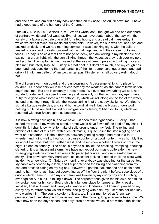and one arm, and am first on my back and then on my nose. Adieu, till next time. I have had a good taste of the humours of the Channel.

29th July, 4 Bells, i.e. 2 o'clock, p.m. - When I wrote last, I thought we had had our share of contrary winds and foul weather. Ever since, we have beaten about the bay with the variety of a favourable gale one night for a few hours, and a dead calm yesterday, in which we almost rolled our masts out of the ship. However, the sun was hot, and I sat and basked on deck, and we had morning service. It was a striking sight, with the sailors seated on oars and buckets, covered with signal flags, and with their clean frocks and faces. To-day is so cold that I dare not go on deck, and am writing in my black-hole of a cabin, in a green light, with the sun blinking through the waves as they rush over my port and scuttle. The captain is much vexed at the loss of time. I persist in thinking it a very pleasant, but utterly lazy life. I sleep a great deal, but don't eat much, and my cough has been bad; but, considering the real hardship of the life - damp, cold, queer food, and bad drink - I think I am better. When we can get past Finisterre, I shall do very well, I doubt not.

The children swarm on board, and cry unceasingly. A passenger-ship is no place for children. Our poor ship will lose her character by the weather, as she cannot fetch up ten days' lost time. But she is evidently a race-horse. We overhaul everything we see, at a wonderful rate, and the speed is exciting and pleasant; but the next long voyage I make, I'll try for a good wholesome old 'monthly' tub, which will roll along on the top of the water, instead of cutting through it, with the waves curling in at the cuddy skylights. We tried to signal a barque yesterday, and send home word 'all well'; but the brutes understood nothing but Russian, and excited our indignation by talking 'gibberish ' to us; which we resented with true British spirit, as became us.

It is now blowing hard again, and we have just been taken right aback. Luckily, I had lashed my desk to my washing-stand, or that would have flown off, as I did off my chair. I don't think I shall know what to make of solid ground under my feet. The rolling and pitching of a ship of this size, with such tall masts, is quite unlike the little niggling sort of work on a steamer - it is the difference between grinding along a bad road in a fourwheeler, and riding well to hounds in a close country on a good hunter. I was horribly tired for about five days, but now I rather like it, and never know whether it blows or not in the night, I sleep so soundly. The noise is beyond all belief; the creaking, trampling, shouting, clattering; it is an incessant storm. We have not yet got our masts quite safe; the new wire-rigging stretches more than was anticipated (of course), and our main-topmast is shaky. The crew have very hard work, as incessant tacking is added to all the extra work incident to a new ship. On Saturday morning, everybody was shouting for the carpenter. My cabin was flooded by a leak, and I superintended the baling and swabbing from my cot, and dressed sitting on my big box. However, I got the leak stopped and cabin dried, and no harm done, as I had put everything up off the floor the night before, suspicious of a dribble which came in. Then my cot frame was broken by my cuddy boy and I lurching over against S-'s bunk, in taking it down. The carpenter has given me his own, and takes my broken one for himself. Board ship is a famous place for tempers. Being easily satisfied, I get all I want, and plenty of attention and kindness; but I cannot prevail on my cuddy boy to refrain from violent tambourine-playing with a tin tray just at the ear of a lady who worries him. The young soldier- officers, too, I hear mentioned as 'them lazy gunners', and they struggle for water and tea in the morning long after mine has come. We have now been ten days at sea, and only three on which we could eat without the 'fiddles'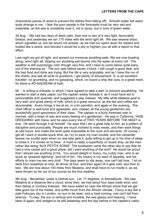(transverse pieces of wood to prevent the dishes from falling off). Smooth water will seem quite strange to me. I fear the poor people in the forecastle must be very wet and miserable, as the sea is constantly over it, not in spray, but in tons of green water.

3d Aug. - We had two days of dead calm, then one or two of a very light, favourable breeze, and yesterday we ran 175 miles with the wind right aft. We saw several ships, which signalled us, but we would not answer, as we had our spars down for repairs and looked like a wreck, and fancied it would be a pity to frighten you all with a report to that effect.

Last night we got all right, and spread out immense studding-sails. We are now bowling along, wind right aft, dipping our studding-sail booms into the water at every roll. The weather is still surprisingly cold, though very fine, and I have to come below quite early, out of the evening air. The sun sets before seven o'clock. I still cough a good deal, and the bad food and drink are trying. But the life is very enjoyable; and as I have the run of the charts, and ask all sorts of questions, I get plenty of amusement. S- is an excellent traveller; no grumbling, and no gossiping, which, on board a ship like ours, is a great merit, for there is AD NAUSEAM of both.

Mr. - is writing a charade, in which I have agreed to take a part, to prevent squabbling. He wanted to start a daily paper, but the captain wisely forbade it, as it must have led to personalities and quarrels, and suggested a play instead. My little white Maltese goat is very well, and gives plenty of milk, which is a great resource, as the tea and coffee are abominable. Avery brings it me at six, in a tin pannikin, and again in the evening. The chief officer is well-bred and agreeable, and, indeed, all the young gentlemen are wonderfully good specimens of their class. The captain is a burly foremast man in manner, with a heart of wax and every feeling of a gentleman. He was in California, 'HIDE DROGHING' with Dana, and he says every line of TWO YEARS BEFORE THE MAST is true. He went through it all himself. He says that I am a great help to him, as a pattern of discipline and punctuality. People are much inclined to miss meals, and then want things at odd hours, and make the work quite impossible to the cook and servants. Of course, I get all I want in double-quick time, as I try to save my man trouble; and the carpenter leaves my scuttle open when no one else gets it, quite willing to get up in his time of sleep to close it, if it comes on to blow. A maid is really a superfluity on board ship, as the men rather like being 'AUX PETITS SOINS'. The boatswain came the other day to say that he had a nice carpet and a good pillow; did I want anything of the sort? He would be proud that I should use anything of his. You would delight in Avery, my cuddy man, who is as quick as 'greased lightning', and full of fun. His misery is my want of appetite, and his efforts to cram me are very droll. The days seem to slip away, one can't tell how. I sit on deck from breakfast at nine, till dinner at four, and then again till it gets cold, and then to bed. We are now about 100 miles from Madeira, and shall have to run inside it, as we were thrown so far out of our course by the foul weather.

9th Aug. - Becalmed, under a vertical sun. Lat. 17 degrees, or thereabouts. We saw Madeira at a distance like a cloud; since then, we had about four days trade wind, and then failing or contrary breezes. We have sailed so near the African shore that we get little good out of the trades, and suffer much from the African climate. Fancy a sky like a pale February sky in London, no sun to be seen, and a heat coming, one can't tell from whence. To-day, the sun is vertical and invisible, the sea glassy and heaving. I have been ill again, and obliged to lie still yesterday and the day before in the captain's cabin;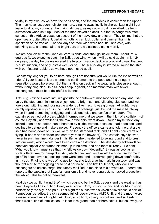to-day in my own, as we have the ports open, and the maindeck is cooler than the upper. The men have just been holystoning here, singing away lustily in chorus. Last night I got leave to sling my cot under the main hatchway, as my cabin must have killed me from suffocation when shut up. Most of the men stayed on deck, but that is dangerous after sunset on this African coast, on account of the heavy dew and fever. They tell me that the open sea is quite different; certainly, nothing can look duller and dimmer than this specimen of the tropics. The few days of trade wind were beautiful and cold, with sparkling sea, and fresh air and bright sun; and we galloped along merrily.

We are now close to the Cape de Verd Islands, and shall go inside them. About lat, 4 degrees N. we expect to catch the S.E. trade wind, when it will be cold again. In lat. 24 degrees, the day before we entered the tropics, I sat on deck in a coat and cloak; the heat is quite sudden, and only lasts a week or so. The sea to- day is littered all round the ship with our floating rubbish, so we have not moved at all.

I constantly long for you to be here, though I am not sure you would like the life as well as I do. All your ideas of it are wrong; the confinement to the poop and the stringent regulations would bore you. But then, sitting on deck in fine weather is pleasure enough, without anything else. In a Queen's ship, a yacht, or a merchantman with fewer passengers, it must be a delightful existence.

17th Aug. - Since I wrote last, we got into the south-west monsoon for one day, and I sat up by the steersman in intense enjoyment - a bright sun and glittering blue sea; and we tore along, pitching and tossing the water up like mad. It was glorious. At night, I was calmly reposing in my cot, in the middle of the steerage, just behind the main hatchway, when I heard a crashing of rigging and a violent noise and confusion on deck. The captain screamed out orders which informed me that we were in the thick of a collision - of course I lay still, and waited till the row, or the ship, went down. I found myself next day looked upon as no better than a heathen by all the women, because I had been cool, and declined to get up and make a noise. Presently the officers came and told me that a big ship had borne down on us - we were on the starboard tack, and all right - carried off our flying jib-boom and whisker (the sort of yard to the bowsprit). The captain says he was never in such imminent danger in his life, as she threatened to swing round and to crush into our waist, which would have been certain destruction. The little dandy soldier-officer behaved capitally; he turned his men up in no time, and had them all ready. He said, 'Why, you know, I must see that my fellows go down decently.' S- was as cool as an icicle, offered me my pea-jacket, &c., which I declined, as it would be of no use for me to go off in boats, even supposing there were time, and I preferred going down comfortably in my cot. Finding she was of no use to me, she took a yelling maid in custody, and was thought a brute for begging her to hold her noise. The first lieutenant, who looks on passengers as odious cargo, has utterly mollified to me since this adventure. I heard him report to the captain that I was 'among 'em all, and never sung out, nor asked a question the while'. This he called 'beautiful'.

Next day we got light wind S.W. (which ought to be the S.E. trades), and the weather has been, beyond all description, lovely ever since. Cool, but soft, sunny and bright - in short, perfect; only the sky is so pale. Last night the sunset was a vision of loveliness, a sort of Pompadour paradise; the sky seemed full of rose-crowned AMORINI, and the moon wore a rose-coloured veil of bright pink cloud, all so light, so airy, so brilliant, and so fleeting, that it was a kind of intoxication. It is far less grand than northern colour, but so lovely, so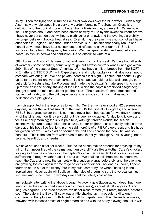shiny. Then the flying fish skimmed like silver swallows over the blue water. Such a sight! Also, I saw a whale spout like a very tiny garden fountain. The Southern Cross is a delusion, and the tropical moon no better than a Parisian one, at present. We are now in lat. 31 degrees about, and have been driven halfway to Rio by this sweet southern breeze. I have never yet sat on deck without a cloth jacket or shawl, and the evenings are chilly. I no longer believe in tropical heat at sea. Even during the calm it was not so hot as I have often felt it in England - and that, under a vertical sun. The ship that nearly ran us and herself down, must have kept no look-out, and refused to answer our hail. She is supposed to be from Glasgow by her looks. We may speak a ship and send letters on board; so excuse scrawl and confusion, it is so difficult to write at all.

30th August. - About 25 degrees S. lat. and very much to the west. We have had all sorts of weather - some beautiful, some very rough, but always contrary winds - and got within 200 miles of the coast of South America. We now have a milder breeze from the SOFT N.E., after a BITTER S.W., with Cape pigeons and mollymawks (a small albatross), not to compare with our gulls. We had private theatricals last night - ill acted, but beautifully got up as far as the sailors were concerned. I did not act, as I did not feel well enough, but I put a bit for Neptune into the Prologue and made the boatswain's mate speak it, to make up for the absence of any shaving at the Line, which the captain prohibited altogether; I thought it hard the men should not get their 'tips'. The boatswain's mate dressed and spoke it admirably; and the old carpenter sang a famous comic song, dressed to perfection as a ploughboy.

I am disappointed in the tropics as to warmth. Our thermometer stood at 82 degrees one day only, under the vertical sun, N. of the Line; ON the Line at 74 degrees; and at sea it FEELS 10 degrees colder than it is. I have never been hot, except for two days 4 degrees N. of the Line, and now it is very cold, but it is very invigorating. All day long it looks and feels like early morning; the sky is pale blue, with light broken clouds; the sea an inconceivably pure opaque blue - lapis lazuli, but far brighter. I saw a lovely dolphin three days ago; his body five feet long (some said more) is of a FIERY blue-green, and his huge tail golden bronze. I was glad he scorned the bait and escaped the hook; he was so beautiful. This is the sea from which Venus rose in her youthful glory. All is young, fresh, serene, beautiful, and cheerful.

We have not seen a sail for weeks. But the life at sea makes amends for anything, to my mind. I am never tired of the calms, and I enjoy a stiff gale like a Mother Carey's chicken, so long as I can be on deck or in the captain's cabin. Between decks it is very close and suffocating in rough weather, as all is shut up. We shall be still three weeks before we reach the Cape; and now the sun sets with a sudden plunge before six, and the evenings are growing too cold again for me to go on deck after dinner. As long as I could, I spent fourteen hours out of the twenty-four in my quiet corner by the wheel, basking in the tropical sun. Never again will I believe in the tales of a burning sun; the vertical sun just kept me warm - no more. In two days we shall be bitterly cold again.

Immediately after writing the above it began to blow a gale (favourable, indeed, but more furious than the captain had ever known in these seas), - about lat. 34 degrees S. and long. 25 degrees. For three days we ran under close-reefed (four reefs) topsails, before a sea. The gale in the Bay of Biscay was a little shaking up in a puddle (a dirty one) compared to that glorious South Atlantic in all its majestic fury. The intense blue waves, crowned with fantastic crests of bright emeralds and with the spray blowing about like wild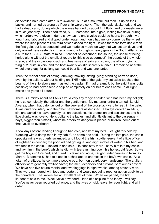dishevelled hair, came after us to swallow us up at a mouthful, but took us up on their backs, and hurried us along as if our ship were a cork. Then the gale slackened, and we had a dead calm, during which the waves banged us about frightfully, and our masts were in much jeopardy. Then a foul wind, S.E., increased into a gale, lasting five days, during which orders were given in dumb show, as no one's voice could be heard; through it we fought and laboured and dipped under water, and I only had my dry corner by the wheel, where the kind pleasant little third officer lashed me tight. It was far more formidable than the first gale, but less beautiful; and we made so much lee-way that we lost ten days, and only arrived here yesterday. I recommend a fortnight's heavy gale in the South Atlantic as a cure for a BLASE state of mind. It cannot be described; the sound, the sense of being hurled along without the smallest regard to 'this side uppermost'; the beauty of the whole scene, and the occasional crack and bear-away of sails and spars; the officer trying to 'sing out', quite in vain, and the boatswain's whistle scarcely audible. I remained near the wheel every day for as long as I could bear it, and was enchanted.

Then the mortal perils of eating, drinking, moving, sitting, lying; standing can't be done, even by the sailors, without holding on. THE night of the gale, my cot twice touched the beams of the ship above me. I asked the captain if I had dreamt it, but he said it was quite possible; he had never seen a ship so completely on her beam ends come up all right, masts and yards all sound.

There is a middy about half M-'s size, a very tiny ten-year-older, who has been my delight; he is so completely 'the officer and the gentleman'. My maternal entrails turned like old Alvarez, when that baby lay out on the very end of the cross-jack yard to reef, in the gale; it was quite voluntary, and the other newcomers all declined. I always called him 'Mr. -, sir', and asked his leave gravely, or, on occasions, his protection and assistance; and his little dignity was lovely. He is polite to the ladies, and slightly distant to the passengerboys, bigger than himself, whom he orders off dangerous places; 'Children, come out of that; you'll be overboard.'

A few days before landing I caught a bad cold, and kept my bed. I caught this cold by 'sleeping with a damp man in my cabin', as some one said. During the last gale, the cabin opposite mine was utterly swamped, and I found the Irish soldier-servant of a little officer of eighteen in despair; the poor lad had got ague, and eight inches of water in his bed, and two feet in the cabin. I looked in and said, 'He can't stay there - carry him into my cabin, and lay him in the bunk'; which he did, with tears running down his honest old face. So we got the boy into S-'s bed, and cured his fever and ague, caught under canvas in Romney Marsh. Meantime S- had to sleep in a chair and to undress in the boy's wet cabin. As a token of gratitude, he sent me a poodle pup, born on board, very handsome. The artillery officers were generally well-behaved; the men, deserters and ruffians, sent out as drivers. We have had five courts-martial and two floggings in eight weeks, among seventy men. They were pampered with food and porter, and would not pull a rope, or get up at six to air their quarters. The sailors are an excellent set of men. When we parted, the first lieutenant said to me, 'Weel, ye've a wonderful idee of discipline for a leddy, I will say. You've never been reported but once, and that was on sick leave, for your light, and all in order.'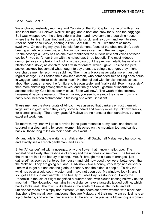Cape Town, Sept. 18.

We anchored yesterday morning, and Captain J-, the Port Captain, came off with a most kind letter from Sir Baldwin Walker, his gig, and a boat and crew for S- and the baggage. So I was whipped over the ship's side in a chair, and have come to a boarding house where the J-s live. I was tired and dizzy and landsick, and lay down and went to sleep. After an hour or so I woke, hearing a little GAZOUILLEMENT, like that of chimney swallows. On opening my eyes I beheld four demons, 'sons of the obedient Jinn', each bearing an article of furniture, and holding converse over me in the language of Nephelecoecygia. Why has no one ever mentioned the curious little soft voices of these coolies? - you can't hear them with the naked ear, three feet off. The most hideous demon (whose complexion had not only the colour, but the precise metallic lustre of an ill black-leaded stove) at last chirruped a wish for orders, which I gave. I asked the pert, active, cockney housemaid what I ought to pay them, as, being a stranger, they might overcharge me. Her scorn was sublime, 'Them nasty blacks never asks more than their regular charge.' So I asked the black-lead demon, who demanded 'two shilling each horse in waggon', and a dollar each 'coolie man'. He then glided with fiendish noiselessness about the room, arranged the furniture to his own taste, and finally said, 'Poor missus sick'; then more chirruping among themselves, and finally a fearful gesture of incantation, accompanied by 'God bless poor missus. Soon well now'. The wrath of the cockney housemaid became majestic: 'There, ma'am; you see how saucy they have grown - a nasty black heathen Mohamedan a blessing of a white Christian!'

These men are the Auvergnats of Africa. I was assured that bankers entrust them with large sums in gold, which they carry some hundred and twenty miles, by unknown tracks, for a small gratuity. The pretty, graceful Malays are no honester than ourselves, but are excellent workmen.

To-morrow, my linen will go to a ravine in the giant mountain at my back, and there be scoured in a clear spring by brown women, bleached on the mountain top, and carried back all those long miles on their heads, as it went up.

My landlady is Dutch; the waiter is an Africander, half Dutch, half Malay, very handsome, and exactly like a French gentleman, and as civil.

Enter 'Africander' lad with a nosegay; only one flower that I know - heliotrope. The vegetation is lovely; the freshness of spring and the richness of summer. The leaves on the trees are in all the beauty of spring. Mrs. R- brought me a plate of oranges, 'just gathered', as soon as I entered the house - and, oh! how good they were! better even than the Maltese. They are going out, and DEAR now - two a penny, very large and delicious. I am wild to get out and see the glorious scenery and the hideous people. To-day the wind has been a cold south-wester, and I have not been out. My windows look N. and E. so I get all the sun and warmth. The beauty of Table Bay is astounding. Fancy the Undercliff in the Isle of Wight magnified a hundred-fold, with clouds floating halfway up the mountain. The Hottentot mountains in the distance have a fantastic jagged outline, which hardly looks real. The town is like those in the south of Europe; flat roofs, and all unfinished; roads are simply non-existent. At the doors sat brown women with black hair that shone like metal, very handsome; they are Malays, and their men wear conical hats atop of turbans, and are the chief artisans. At the end of the pier sat a Mozambique woman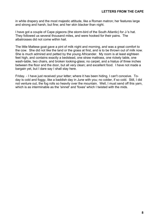in white drapery and the most majestic attitude, like a Roman matron; her features large and strong and harsh, but fine; and her skin blacker than night.

I have got a couple of Cape pigeons (the storm-bird of the South Atlantic) for J-'s hat. They followed us several thousand miles, and were hooked for their pains. The albatrosses did not come within hail.

The little Maltese goat gave a pint of milk night and morning, and was a great comfort to the cow. She did not like the land or the grass at first, and is to be thrown out of milk now. She is much admired and petted by the young Africander. My room is at least eighteen feet high, and contains exactly a bedstead, one straw mattrass, one rickety table, one wash-table, two chairs, and broken looking-glass; no carpet, and a hiatus of three inches between the floor and the door, but all very clean; and excellent food. I have not made a bargain yet, but I dare say I shall stay here.

Friday. - I have just received your letter; where it has been hiding, I can't conceive. Today is cold and foggy, like a baddish day in June with you; no colder, if so cold. Still, I did not venture out, the fog rolls so heavily over the mountain. Well, I must send off this yarn, which is as interminable as the 'sinnet' and 'foxes' which I twisted with the mids.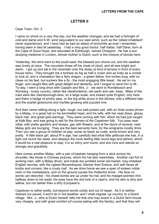## **LETTER II**

<span id="page-10-0"></span>Cape Town, Oct. 3.

I came on shore on a very fine day, but the weather changed, and we had a fortnight of cold and damp and S.W. wind (equivalent to our east wind), such as the 'oldest inhabitant' never experienced; and I have had as bad an attack of bronchitis as ever I remember, having been in bed till yesterday. I had a very good doctor, half Italian, half Dane, born at the Cape of Good Hope, and educated at Edinburgh, named Chiappini. He has a son studying medicine in London, whose mother is Dutch; such is the mixture of bloods here.

Yesterday, the wind went to the south-east; the blessed sun shone out, and the weather was lovely at once. The mountain threw off his cloak of cloud, and all was bright and warm. I got up and sat in the verandah over the stoep (a kind of terrace in front of every house here). They brought me a tortoise as big as half a crown and as lively as a cricket to look at, and a chameleon like a fairy dragon - a green fellow, five inches long, with no claws on his feet, but suckers like a fly - the most engaging little beast. He sat on my finger, and caught flies with great delight and dexterity, and I longed to send him to M-. To-day, I went a long drive with Captain and Mrs. J-: we went to Rondebosch and Wynberg - lovely country; rather like Herefordshire; red earth and oak- trees. Miles of the road were like Gainsborough-lane, on a large scale, and looked quite English; only here and there a hedge of prickly pear, or the big white aruns in the ditches, told a different tale; and the scarlet geraniums and myrtles growing wild puzzled one.

And then came rattling along a light, rough, but well-poised cart, with an Arab screw driven by a Malay, in a great hat on his kerchiefed head, and his wife, with her neat dress, glossy black hair, and great gold earrings. They were coming with fish, which he had just caught at Kalk Bay, and was going to sell for the dinners of the Capetown folk. You pass neat villas, with pretty gardens and stoeps, gay with flowers, and at the doors of several, neat Malay girls are lounging. They are the best servants here, for the emigrants mostly drink. Then you see a group of children at play, some as black as coals, some brown and very pretty. A little black girl, about R-'s age, has carefully tied what little petticoat she has, in a tight coil round her waist, and displays the most darling little round legs and behind, which it would be a real pleasure to slap; it is so shiny and round, and she runs and stands so strongly and gracefully.

Here comes another Malay, with a pair of baskets hanging from a stick across his shoulder, like those in Chinese pictures, which his hat also resembles. Another cart full of working men, with a Malay driver; and inside are jumbled some red-haired, rosy-cheeked English navvies, with the ugliest Mozambiques, blacker than Erebus, and with faces all knobs and corners, like a crusty loaf. As we drive home we see a span of sixteen noble oxen in the marketplace, and on the ground squats the Hottentot driver. His face no words can describe - his cheek-bones are up under his hat, and his meagre-pointed chin halfway down to his waist; his eyes have the dull look of a viper's, and his skin is dirty and sallow, but not darker than a dirty European's.

Capetown is rather pretty, but beyond words untidy and out of repair. As it is neither drained nor paved, it won't do in hot weather; and I shall migrate 'up country' to a Dutch village. Mrs. J-, who is Dutch herself, tells me that one may board in a Dutch farm-house very cheaply, and with great comfort (of course eating with the family), and that they will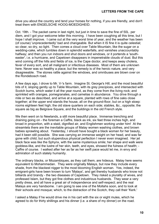drive you about the country and tend your horses for nothing, if you are friendly, and don't treat them with ENGELSCHE HOOG-MOEDIGHEID.

Oct. 19th. - The packet came in last night, but just in time to save the fine of 50L. per diem, and I got your welcome letter this morning. I have been coughing all this time, but I hope I shall improve. I came out at the very worst time of year, and the weather has been (of course) 'unprecedentedly' bad and changeable. But when it IS fine it is quite celestial; so clear, so dry, so light. Then comes a cloud over Table Mountain, like the sugar on a wedding-cake, which tumbles down in splendid waterfalls, and vanishes unaccountably halfway; and then you run indoors and shut doors and windows, or it portends a 'southeaster', i.e. a hurricane, and Capetown disappears in impenetrable clouds of dust. But this wind coming off the hills and fields of ice, is the Cape doctor, and keeps away cholera, fever of every sort, and all malignant or infectious diseases. Most of them are unknown here. Never was so healthy a place; but the remedy is of the heroic nature, and very disagreeable. The stones rattle against the windows, and omnibuses are blown over on the Rondebosch road.

A few days ago, I drove to Mr. V-'s farm. Imagine St. George's Hill, and the most beautiful bits of it, sloping gently up to Table Mountain, with its grey precipices, and intersected with Scotch burns, which water it all the year round, as they come from the living rock; and sprinkled with oranges, pomegranates, and camelias in abundance. You drive through a mile or two as described, and arrive at a square, planted with rows of fine oaks close together; at the upper end stands the house, all on the ground-floor, but on a high stoep: rooms eighteen feet high; the old slave quarters on each side; stables, &c., opposite; the square as big as Belgrave Square, and the buildings in the old French style.

We then went on to Newlands, a still more beautiful place. Immense trenching and draining going on - the foreman a Caffre, black as ink, six feet three inches high, and broad in proportion, with a staid, dignified air, and Englishmen working under him! At the streamlets there are the inevitable groups of Malay women washing clothes, and brown babies sprawling about. Yesterday, I should have bought a black woman for her beauty, had it been still possible. She was carrying an immense weight on her head, and was far gone with child; but such stupendous physical perfection I never even imagined. Her jet black face was like the Sphynx, with the same mysterious smile; her shape and walk were goddess-like, and the lustre of her skin, teeth, and eyes, showed the fulness of health; - Caffre of course. I walked after her as far as her swift pace would let me, in envy and admiration of such stately humanity.

The ordinary blacks, or Mozambiques, as they call them, are hideous. Malay here seems equivalent to Mohammedan. They were originally Malays, but now they include every shade, from the blackest nigger to the most blooming English woman. Yes, indeed, the emigrant-girls have been known to turn 'Malays', and get thereby husbands who know not billiards and brandy - the two diseases of Capetown. They risked a plurality of wives, and professed Islam, but they got fine clothes and industrious husbands. They wear a very pretty dress, and all have a great air of independence and self-respect; and the real Malays are very handsome. I am going to see one of the Mollahs soon, and to look at their schools and mosque; which, to the distraction of the Scotch, they call their 'Kerk.'

I asked a Malay if he would drive me in his cart with the six or eight mules, which he agreed to do for thirty shillings and his dinner (i.e. a share of my dinner) on the road.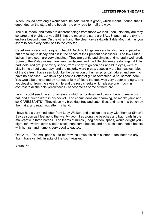When I asked how long it would take, he said, 'Allah is groot', which meant, I found, that it depended on the state of the beach - the only road for half the way.

The sun, moon, and stars are different beings from those we look upon. Not only are they so large and bright, but you SEE that the moon and stars are BALLS, and that the sky is endless beyond them. On the other hand, the clear, dry air dwarfs Table Mountain, as you seem to see every detail of it to the very top.

Capetown is very picturesque. The old Dutch buildings are very handsome and peculiar, but are falling to decay and dirt in the hands of their present possessors. The few Dutch ladies I have seen are very pleasing. They are gentle and simple, and naturally well-bred. Some of the Malay women are very handsome, and the little children are darlings. A little parti-coloured group of every shade, from ebony to golden hair and blue eyes, were at play in the street yesterday, and the majority were pretty, especially the half-castes. Most of the Caffres I have seen look like the perfection of human physical nature, and seem to have no diseases. Two days ago I saw a Hottentot girl of seventeen, a housemaid here. You would be enchanted by her superfluity of flesh; the face was very queer and ugly, and yet pleasing, from the sweet smile and the rosy cheeks which please one much, in contrast to all the pale yellow faces - handsome as some of them are.

I wish I could send the six chameleons which a good-natured parson brought me in his hat, and a queer lizard in his pocket. The chameleons are charming, so monkey-like and so 'CARESSANTS'. They sit on my breakfast tray and catch flies, and hang in a bunch by their tails, and reach out after my hand.

I have had a very kind letter from Lady Walker, and shall go and stay with them at Simon's Bay as soon as I feel up to the twenty- two miles along the beaches and bad roads in the mail-cart with three horses. The teams of mules (I beg pardon, spans) would delight you eight, ten, twelve, even sixteen sleek, handsome beasts; and oh, such oxen! noble beasts with humps; and hump is very good to eat too.

Oct. 21st. - The mail goes out to-morrow, so I must finish this letter. I feel better to-day than I have yet felt, in spite of the south-easter.

Yours, &c.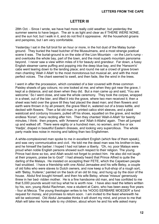#### **LETTER III**

<span id="page-13-0"></span>28th Oct. - Since I wrote, we have had more really cold weather, but yesterday the summer seems to have begun. The air is as light and clear as if THERE WERE NONE, and the sun hot; but I walk in it, and do not find it oppressive. All the household groans and perspires, but I am very comfortable.

Yesterday I sat in the full broil for an hour or more, in the hot dust of the Malay burialground. They buried the head butcher of the Mussulmans, and a most strange poetical scene it was. The burial-ground is on the side of the Lion Mountain - on the Lion's rump and overlooks the whole bay, part of the town, and the most superb mountain panorama beyond. I never saw a view within miles of it for beauty and grandeur. Far down, a fussy English steamer came puffing and popping into the deep blue bay, and the 'Hansom's' cabs went tearing down to the landing place; and round me sat a crowd of grave brown men chanting 'Allah il Allah' to the most monotonous but musical air, and with the most perfect voices. The chant seemed to swell, and then fade, like the wind in the trees.

I went in after the procession, which consisted of a bier covered with three common Paisley shawls of gay colours; no one looked at me; and when they got near the grave, I kept at a distance, and sat down when they did. But a man came up and said, 'You are welcome.' So I went close, and saw the whole ceremony. They took the corpse, wrapped in a sheet, out of the bier, and lifted it into the grave, where two men received it; then a sheet was held over the grave till they had placed the dead man; and then flowers and earth were thrown in by all present, the grave filled in, watered out of a brass kettle, and decked with flowers. Then a fat old man, in printed calico shirt sleeves, and a plaid waistcoat and corduroy trousers, pulled off his shoes, squatted on the grave, and recited endless 'Koran', many reciting after him. Then they chanted 'Allah-il-Allah' for twenty minutes, I think: then prayers, with 'Ameens' and 'Allah il-Allahs' again. Then all jumped up and walked off. There were eighty or a hundred men, no women, and five or six 'Hadjis', draped in beautiful Eastern dresses, and looking very supercilious. The whole party made less noise in moving and talking than two Englishmen.

A white-complexioned man spoke to me in excellent English (which few of them speak), and was very communicative and civil. He told me the dead man was his brother-in-law, and he himself the barber. I hoped I had not taken a liberty. 'Oh, no; poor Malays were proud when noble English persons showed such respect to their religion. The young Prince had done so too, and Allah would not forget to protect him. He also did not laugh at their prayers, praise be to God!' I had already heard that Prince Alfred is quite the darling of the Malays. He insisted on accepting their FETE, which the Capetown people had snubbed. I have a friendship with one Abdul Jemaalee and his wife Betsy, a couple of old folks who were slaves to Dutch owners, and now keep a fruit-shop of a rough sort, with 'Betsy, fruiterer,' painted on the back of an old tin tray, and hung up by the door of the house. Abdul first bought himself, and then his wife Betsy, whose 'missus' generously threw in her bed- ridden mother. He is a fine handsome old man, and has confided to me that 5,000 pounds would not buy what he is worth now. I have also read the letters written by his, son, young Abdul Rachman, now a student at Cairo, who has been away five years - four at Mecca. The young theologian writes to his 'HOOG EERBARE MOEDER' a fond request for money, and promises to return soon. I am invited to the feast wherewith he will be welcomed. Old Abdul Jemaalee thinks it will divert my mind, and prove to me that Allah will take me home safe to my children, about whom he and his wife asked many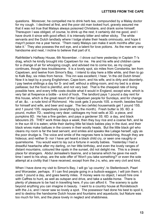questions. Moreover, he compelled me to drink herb tea, compounded by a Malay doctor for my cough. I declined at first, and the poor old man looked hurt, gravely assured me that it was not true that Malays always poisoned Christians, and drank some himself. Thereupon I was obliged, of course, to drink up the rest; it certainly did me good, and I have drunk it since with good effect; it is intensely bitter and rather sticky. The white servants and the Dutch landlady where I lodge shake their heads ominously, and hope it mayn't poison me a year hence. 'Them nasty Malays can make it work months after you take it.' They also possess the evil eye, and a talent for love potions. As the men are very handsome and neat, I incline to believe that part of it.

Rathfelder's Halfway House, 6th November. - I drove out here yesterday in Captain T-'s drag, which he kindly brought into Capetown for me. He and his wife and children came for a change of air for whooping cough, and advised me to come too, as my cough continues, though less troublesome. It is a lovely spot, six miles from Constantia, ten from Capetown, and twelve from Simon's Bay. I intend to stay here a little while, and then to go to Kalk Bay, six miles from hence. This inn was excellent, I hear, 'in the old Dutch times'. Now it is kept by a young Englishman, Cape-born, and his wife, and is dirty and disorderly. I pay twelve shillings a day for S- and self, without a sitting-room, and my bed is a straw paillasse; but the food is plentiful, and not very bad. That is the cheapest rate of living possible here, and every trifle costs double what it would in England, except wine, which is very fair at fivepence a bottle - a kind of hock. The landlord pays 1 pound a day rent for this house, which is the great resort of the Capetown people for Sundays, and for change of air, &c. - a rude kind of Richmond. His cook gets 3 pounds 10S. a month, besides food for himself and wife, and beer and sugar. The two (white) housemaids get 1 pound 15S. and 1 pound 10S. respectively (everything by the month). Fresh butter is 3S. 6D. a pound, mutton 7D.; washing very dear; cabbages my host sells at 3D. a piece, and pumpkins 8D. He has a fine garden, and pays a gardener 3S. 6D. a day, and black labourers 2S. THEY work three days a week; then they buy rice and a coarse fish, and lie in the sun till it is eaten; while their darling little fat black babies play in the dust, and their black wives make battues in the covers in their woolly heads. But the little black girl who cleans my room is far the best servant, and smiles and speaks like Lalage herself, ugly as the poor drudge is. The voice and smile of the negroes here is bewitching, though they are hideous; and neither S- nor I have yet heard a black child cry, or seen one naughty or quarrelsome. You would want to lay out a fortune in woolly babies. Yesterday I had a dreadful heartache after my darling, on her little birthday, and even the lovely ranges of distant mountains, coloured like opals in the sunset, did not delight me. This is a dreary place for strangers. Abdul Jemaalee's tisanne, and a banana which he gave me each time I went to his shop, are the sole offer of 'Won't you take something?' or even the sole attempt at a civility that I have received, except from the J-s, who, are very civil and kind.

When I have done my visit to Simon's Bay, I will go 'up country', to Stellenbosch, Paarl and Worcester, perhaps. If I can find people going in a bullock-waggon, I will join them; it costs 1 pound a day, and goes twenty miles. If money were no object, I would hire one with Caffres to hunt, as well as outspan and drive, and take a saddle-horse. There is plenty of pleasure to be had in travelling here, if you can afford it. The scenery is quite beyond anything you can imagine in beauty. I went to a country house at Rondebosch with the J-s, and I never saw so lovely a spot. The possessor had done his best to spoil it, and to destroy the handsome Dutch house and fountains and aqueducts; but Nature was too much for him, and the place lovely in neglect and shabbiness.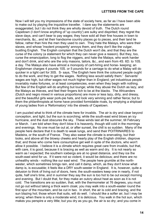Now I will tell you my impressions of the state of society here, as far as I have been able to make out by playing the inquisitive traveller. I dare say the statements are exaggerated, but I do not think they are wholly devoid of truth. The Dutch round Capetown (I don't know anything of 'up country') are sulky and dispirited; they regret the slave days, and can't bear to pay wages; they have sold all their fine houses in town to merchants, &c., and let their handsome country places go to pieces, and their land lie fallow, rather than hire the men they used to own. They hate the Malays, who were their slaves, and whose 'insolent prosperity' annoys them, and they don't like the vulgar, bustling English. The English complain that the Dutch won't die, and that they are the curse of the colony (a statement for which they can never give a reason). But they, too, curse the emancipation, long to flog the niggers, and hate the Malays, who work harder and don't drink, and who are the only masons, tailors, &c., and earn from 4S. 6D. to 10S. a day. The Malays also have almost a monopoly of cart-hiring and horse- keeping; an Englishman charges 4 pounds 10S. or 5 pounds for a carriage to do what a Malay will do quicker in a light cart for 30S. S- says, 'The English here think the coloured people ought to do the work, and they to get the wages. Nothing less would satisfy them.' Servants' wages are high, but other wages not much higher than in England; yet industrious people invariably make fortunes, or at least competencies, even when they begin with nothing. But few of the English will do anything but lounge; while they abuse the Dutch as lazy, and the Malays as thieves, and feel their fingers itch to be at the blacks. The Africanders (Dutch and negro mixed in various proportions) are more or less lazy, dirty, and dressy, and the beautiful girls wear pork-pie hats, and look very winning and rather fierce; but to them the philanthropists at home have provided formidable rivals, by emptying a shipload of young ladies from a 'Reformatory' into the streets of Capetown.

I am puzzled what to think of the climate here for invalids. The air is dry and clear beyond conception, and light, but the sun is scorching; while the south-east wind blows an icy hurricane, and the dust obscures the sky. These winds last all the summer, till February or March. I am told when they don't blow it is heavenly, though still cold in the mornings and evenings. No one must be out at, or after sunset, the chill is so sudden. Many of the people here declare that it is death to weak lungs, and send their POITRINAIRES to Madeira, or the south of France. They also swear the climate is enervating, but their looks, and above all the blowsy cheeks and hearty play of the English children, disprove that; and those who come here consumptive get well in spite of the doctors, who won't allow it possible. I believe it is a climate which requires great care from invalids, but that, with care, it is good, because it is bracing as well as warm and dry. It is not nearly so warm as I expected; the southern icebergs are at no great distance, and they ice the south-east wind for us. If it were not so violent, it would be delicious; and there are no unhealthy winds - nothing like our east wind. The people here grumble at the northwester, which sometimes brings rain, and call it damp, which, as they don't know what damp is, is excusable; it feels like a DRY south-wester in England. It is, however, quite a delusion to think of living out of doors, here; the south-easters keep one in nearly, if not quite, half one's time, and in summer they say the sun is too hot to be out except morning and evening. But I doubt that, for they make an outcry about heat as soon as it is not cold. The transitions are so sudden, that, with the thermometer at 76 degrees, you must not go out without taking a thick warm cloak; you may walk into a south-easter round the first spur of the mountain, and be cut in two. In short, the air is cold and bracing, and the sun blazing hot; those whom that suits, will do well. I should like a softer air, but I may be wrong; when there is only a moderate wind, it is delicious. You walk in the hot sun, which makes you perspire a very little; but you dry as you go, the air is so dry; and you come in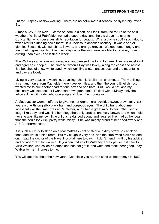untired. I speak of slow walking. There are no hot-climate diseases; no dysentery, fever, &c.

Simon's Bay, 18th Nov. - I came on here in a cart, as I felt ill from the return of the cold weather. While at Rathfelder we had a superb day, and the J-s drove me over to Constantia, which deserves all its reputation for beauty. What a divine spot! - such kloofs, with silver rills running down them! It is useless to describe scenery. It was a sort of glorified Scotland, with sunshine, flowers, and orange-groves. We got home hungry and tired, but in great spirits. Alas! next day came the south-easter - blacker, colder, more cutting, than ever - and lasted a week.

The Walkers came over on horseback, and pressed me to go to them. They are most kind and agreeable people. The drive to Simon's Bay was lovely, along the coast and across five beaches of snow-white sand, which look like winter landscapes; and the mountains and bay are lovely.

Living is very dear, and washing, travelling, chemist's bills - all enormous. Thirty shillings a cart and horse from Rathfelder here - twelve miles; and then the young English host wanted me to hire another cart for one box and one bath! But I would not, and my obstinacy was stoutest. If I want cart or waggon again, I'll deal with a Malay, only the fellows drive with forty Jehu-power up and down the mountains.

A Madagascar woman offered to give me her orphan grandchild, a sweet brown fairy, six years old, with long silky black hair, and gorgeous eyes. The child hung about me incessantly all the time I was at Rathfelder, and I had a great mind to her. She used to laugh like baby, and was like her altogether, only prettier, and very brown; and when I told her she was like my own little child, she danced about, and laughed like mad at the idea that she could look like 'pretty white Missy'. She was mighty proud of her needlework and A B C performances.

It is such a luxury to sleep on a real mattrass - not stuffed with dirty straw; to eat clean food, and live in a nice room. But my cough is very bad, and the cruel wind blows on and on. I saw the doctor of the Naval Hospital here to-day. If I don't mend, I will try his advice, and go northward for warmth. If you can find an old Mulready envelope, send it here to Miss Walker, who collects stamps and has not got it, and write and thank dear good Lady Walker for her kindness to me.

You will get this about the new year. God bless you all, and send us better days in 1862.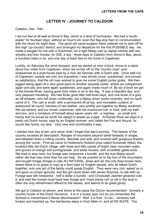#### **LETTER IV - JOURNEY TO CALEDON**

<span id="page-17-0"></span>Caledon, Dec. 10th.

I did not feel at all well at Simon's Bay, which is a land of hurricanes. We had a 'southeaster' for fourteen days, without an hour's lull; even the flag-ship had no communication with the shore for eight days. The good old naval surgeon there ordered me to start off for this high 'up-country' district, and arranged my departure for the first POSSIBLE day. He made a bargain for me with a Dutchman, for a light Malay cart (a capital vehicle with two wheels) and four horses, for 30S. a day - three days to Caledon from Simon's Bay, about a hundred miles or so, and one day of back fare to his home in Capetown.

Luckily, on Saturday the wind dropped, and we started at nine o'clock, drove to a place about four miles from Capetown, when we turned off on the 'country road', and outspanned at a post-house kept by a nice old German with a Dutch wife. Once well out of Capetown, people are civil, but inquisitive; I was strictly cross- questioned, and proved so satisfactory, that the old man wished to give me some English porter gratis. We then jogged along again at a very good pace to another wayside public, where we outspanned again and ate, and were again questioned, and again made much of. By six o'clock we got to the Eerste River, having gone forty miles or so in the day. It was a beautiful day, and very pleasant travelling. We had three good little half-Arab bays, and one brute of a grey as off-wheeler, who fell down continually; but a Malay driver works miracles, and no harm came of it. The cart is small, with a permanent tilt at top, and moveable curtains of waterproof all round; harness of raw leather, very prettily put together by Malay workmen. We sat behind, and our brown coachman, with his mushroom hat, in front, with my bath and box, and a miniature of himself about seven years old - a nephew, - so small and handy that he would be worth his weight in jewels as a tiger. At Eerste River we slept in a pretty old Dutch house, kept by an English woman, and called the Fox and Hound, 'to sound like home, my lady.' Very nice and comfortable it was.

I started next day at ten; and never shall I forget that day's journey. The beauty of the country exceeds all description. Ranges of mountains beyond belief fantastic in shape, and between them a rolling country, desolate and wild, and covered with gorgeous flowers among the 'scrub'. First we came to Hottentot's Holland (now called Somerset West), the loveliest little old Dutch village, with trees and little canals of bright clear mountain water, and groves of orange and pomegranate, and white houses, with incredible gable ends. We tried to stop here; but forage was ninepence a bundle, and the true Malay would rather die than pay more than he can help. So we pushed on to the foot of the mountains, and bought forage (forage is oats AU NATURAL, straw and all, the only feed known here, where there is no grass or hay) at a farm kept by English people, who all talked Dutch together; only one girl of the family could speak English. They were very civil, asked us in, and gave us unripe apricots, and the girl came down with seven flounces, to talk with us. Forage was still ninepence - half a dollar a bundle - and Choslullah Jaamee groaned over it, and said the horses must have less forage and 'more plenty roll' (a roll in the dust is often the only refreshment offered to the beasts, and seems to do great good).

We got to Caledon at eleven, and drove to the place the Doctor recommended - formerly a country house of the Dutch Governor. It is in a lovely spot; but do you remember the Schloss in Immermann's Neuer Munchausen? Well, it is that. A ruin; - windows half broken and boarded up, the handsome steps in front fallen in, and all EN SUITE. The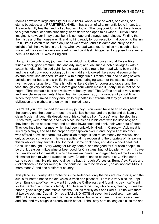rooms I saw were large and airy; but mud floors, white- washed walls, one chair, one stump bedstead, and PRAETEREA NIHIL. It has a sort of wild, romantic look; I hear, too, it is wonderfully healthy, and not so bad as it looks. The long corridor is like the entrance to a great stable, or some such thing; earth floors and open to all winds. But you can't imagine it, however I may describe; it is so huge and strange, and ruinous. Finding that the mistress of the house was ill, and nothing ready for our reception, I drove on to the inn. Rain, like a Scotch mist, came on just as we arrived, and it is damp and chilly, to the delight of all the dwellers in the land, who love bad weather. It makes me cough a little more; but they say it is quite unheard of, and can't last. Altogether, I suppose this summer here is as that of '60 was in England.

I forgot, in describing my journey, the regal-looking Caffre housemaid at Eerste River. 'Such a dear, good creature,' the landlady said; and, oh, such a 'noble savage'! - with a cotton handkerchief folded tight like a cravat and tied round her head with a bow behind, and the short curly wool sticking up in the middle; - it looked like a royal diadem on her solemn brow; she stepped like Juno, with a huge tub full to the brim, and holding several pailfuls, on her head, and a pailful in each hand, bringing water for the stables from the river, across a large field. There is nothing like a Caffre for power and grace; and the face, though very African, has a sort of grandeur which makes it utterly unlike that of the negro. That woman's bust and waist were beauty itself. The Caffres are also very clean and very clever as servants, I hear, learning cookery, &c., in a wonderfully short time. When they have saved money enough to buy cattle in Kaffraria, off they go, cast aside civilization and clothes, and enjoy life in naked luxury.

I can't tell you how I longed for you in my journey. You would have been so delighted with the country and the queer turn-out - the wild little horses, and the polite and delicatelyclean Moslem driver. His description of his sufferings from 'louses', when he slept in a Dutch farm, were pathetic, and ever since, he sleeps in his cart, with the little boy; and they bathe in the nearest river, and eat their lawful food and drink their water out of doors. They declined beer, or meat which had been unlawfully killed. In Capetown ALL meat is killed by Malays, and has the proper prayer spoken over it, and they will eat no other. I was offered a fowl at a farm, but Choslullah thought it 'too much money for Missus', and only accepted some eggs. He was gratified at my recognising the propriety of his saying 'Bismillah' over any animal killed for food. Some drink beer, and drink a good deal, but Choslullah thought it 'very wrong for Malay people, and not good for Christian people, to be drunk beasties; - little wine or beer good for Christians, but not too plenty much.' I gave him ten shillings for himself, at which he was enchanted, and again begged me to write to his master for him when I wanted to leave Caledon, and to be sure to say, 'Mind send same coachman.' He planned to drive me back through Worcester, Burnt Vley, Paarl, and Stellenbosch - a longer round; but he could do it in three days well, so as 'not cost Missus more money', and see a different country.

This place is curiously like Rochefort in the Ardennes, only the hills are mountains, and the sun is far hotter; not so the air, which is fresh and pleasant. I am in a very nice inn, kept by an English ex-officer, who went through the Caffre war, and found his pay insufficient for the wants of a numerous family. I quite admire his wife, who cooks, cleans, nurses her babes, gives singing and music lessons, - all as merrily as if she liked it. I dine with them at two o'clock, and Captain D- has a TABLE D'HOTE at seven for travellers. I pay only 10S. 6D. a day for myself and S-; this includes all but wine or beer. The air is very clear and fine, and my cough is already much better. I shall stay here as long as it suits me and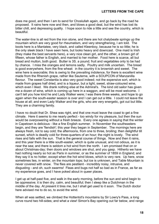does me good, and then I am to send for Choslullah again, and go back by the road he proposed. It rains here now and then, and blows a good deal, but the wind has lost its bitter chill, and depressing quality. I hope soon to ride a little and see the country, which is beautiful.

The water-line is all red from the iron stone, and there are hot chalybeate springs up the mountain which are very good for rheumatism, and very strengthening, I am told. The boots here is a Mantatee, very black, and called Kleenboy, because he is so little; he is the only sleek black I have seen here, but looks heavy and downcast. One maid is Irish (they make the best servants here), a very nice clean girl, and the other, a brown girl of fifteen, whose father is English, and married to her mother. Food here is scarce, all but bread and mutton, both good. Butter is 3S. a pound; fruit and vegetables only to be had by chance. I miss the oranges and lemons sadly. Poultry and milk uncertain. The bread is good everywhere, from the fine wheat: in the country it is brownish and sweet. The wine here is execrable; this is owing to the prevailing indolence, for there is excellent wine made from the Rhenish grape, rather like Sauterne, with a SOUPCON of Manzanilla flavour. The sweet Constantia is also very good indeed; not the expensive sort, which is made from grapes half dried, and is a liqueur, but a light, sweet, straw-coloured wine, which even I liked. We drank nothing else at the Admiral's. The kind old sailor has given me a dozen of wine, which is coming up here in a waggon, and will be most welcome. I can't tell you how kind he and Lady Walker were; I was there three weeks, and hope to go again when the south-easter season is over and I can get out a little. I could not leave the house at all; and even Lady Walker and the girls, who are very energetic, got out but little. They are a charming family.

I have no doubt that Dr. Shea was right, and that one must leave the coast to get a fine climate. Here it seems to me nearly perfect - too windy for my pleasure, but then the sun would be overpowering without a fresh breeze. Every one agrees in saying that the winter in Capetown is delicious - like a fine English summer. In November the southeasters begin, and they are 'fiendish'; this year they began in September. The mornings here are always fresh, not to say cold; the afternoons, from one to three, broiling; then delightful till sunset, which is deadly cold for three-quarters of an hour; the night is lovely. The wind rises and falls with the sun. That is the general course of things. Now and then it rains, and this year there is a little south-easter, which is quite unusual, and not odious, as it is near the sea; and there is seldom a hot wind from the north. I am promised that on or about Christmas-day; then doors and windows are shut, and you gasp. Hitherto we have had nothing nearly so hot as Paris in summer, or as the summer of 1859 in England; and they say it is no hotter, except when the hot wind blows, which is very rare. Up here, snow sometimes lies, in winter, on the mountain tops; but ice is unknown, and Table Mountain is never covered with snow. The flies are pestilent - incredibly noisy, intrusive, and disgusting - and oh, such swarms! Fleas and bugs not half so bad as in France, as far as my experience goes, and I have poked about in queer places.

I get up at half-past five, and walk in the early morning, before the sun and wind begin to be oppressive; it is then dry, calm, and beautiful; then I sleep like a Dutchman in the middle of the day. At present it tires me, but I shall get used to it soon. The Dutch doctor here advised me to do so, to avoid the wind.

When all was settled, we climbed the Hottentot's mountains by Sir Lowry's Pass, a long curve round two hill-sides; and what a view! Simon's Bay opening out far below, and range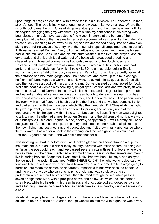upon range of crags on one side, with a wide fertile plain, in which lies Hottentot's Holland, at one's feet. The road is just wide enough for one waggon, i.e. very narrow. Where the smooth rock came through, Choslullah gave a little grunt, and the three bays went off like hippogriffs, dragging the grey with them. By this time my confidence in his driving was boundless, or I should have expected to find myself in atoms at the bottom of the precipice. At the top of the pass we turned a sharp corner into a scene like the crater of a volcano, only reaching miles away all round; and we descended a very little and drove on along great rolling waves of country, with the mountain tops, all crags and ruins, to our left. At three we reached Palmiet River, full of palmettos and bamboos, and there the horses had 'a little roll', and Choslullah and his miniature washed in the river and prayed, and ate dry bread, and drank their tepid water out of a bottle with great good breeding and cheerfulness. Three bullock-waggons had outspanned, and the Dutch boers and Bastaards (half Hottentots) were all drunk. We went into a neat little 'public', and had porter and ham sandwiches, for which I paid 4S. 6D. to a miserable-looking English woman, who was afraid of her tipsy customers. We got to Houw Hoek, a pretty valley at the entrance of a mountain gorge, about half-past five, and drove up to a mud cottage, half inn, half farm, kept by a German and his wife. It looked mighty queer, but Choslullah said the host was a good old man, and all clean. So we cheered up, and asked for food. While the neat old woman was cooking it, up galloped five fine lads and two pretty flaxenhaired girls, with real German faces, on wild little horses; and one girl tucked up her habit, and waited at table, while another waved a green bough to drive off the swarms of flies. The chops were excellent, ditto bread and butter, and the tea tolerable. The parlour was a tiny room with a mud floor, half-hatch door into the front, and the two bedrooms still tinier and darker, each with two huge beds which filled them entirely. But Choslullah was right; they were perfectly clean, with heaps of beautiful pillows; and not only none of the creatures of which he spoke with infinite terror, but even no fleas. The man was delighted to talk to me. His wife had almost forgotten German, and the children did not know a word of it, but spoke Dutch and English. A fine, healthy, happy family. It was a pretty picture of emigrant life. Cattle, pigs, sheep, and poultry, and pigeons innumerable, all picked up their own living, and cost nothing; and vegetables and fruit grow in rank abundance where there is water. I asked for a book in the evening, and the man gave me a volume of Schiller. A good breakfast, - and we paid ninepence for all.

This morning we started before eight, as it looked gloomy, and came through a superb mountain defile, out on to a rich hillocky country, covered with miles of corn, all being cut as far as the eye could reach, and we passed several circular threshing-floors, where the horses tread out the grain. Each had a few mud hovels near it, for the farmers and men to live in during harvest. Altogether, I was most lucky, had two beautiful days, and enjoyed the journey immensely. It was most 'ABENTHEUERLICH'; the light two-wheeled cart, with four wild little horses, and the marvellous brown driver, who seemed to be always going to perdition, but made the horses do apparently impossible things with absolute certainty; and the pretty tiny boy who came to help his uncle, and was so clever, and so preternaturally quiet, and so very small: then the road through the mountain passes, seven or eight feet wide, with a precipice above and below, up which the little horses scrambled; while big lizards, with green heads and chocolate bodies, looked pertly at us, and a big bright amber-coloured cobra, as handsome as he is deadly, wriggled across into a hole.

Nearly all the people in this village are Dutch. There is one Malay tailor here, but he is obliged to be a Christian at Caledon, though Choslullah told me with a grin, he was a very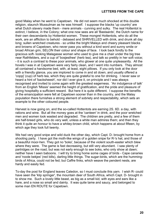good Malay when he went to Capetown. He did not seem much shocked at this double religion, staunch Mussulman as he was himself. I suppose the blacks 'up country' are what Dutch slavery made them - mere animals - cunning and sulky. The real Hottentot is extinct, I believe, in the Colony; what one now sees are all 'Bastaards', the Dutch name for their own descendants by Hottentot women. These mongrel Hottentots, who do all the work, are an affliction to behold - debased and SHRIVELLED with drink, and drunk all day long; sullen wretched creatures - so unlike the bright Malays and cheery pleasant blacks and browns of Capetown, who never pass you without a kind word and sunny smile or broad African grin, SELON their colour and shape of face. I look back fondly to the gracious soft- looking Malagasse woman who used to give me a chair under the big tree near Rathfelders, and a cup of 'bosjesthee' (herb tea), and talk so prettily in her soft voice; - it is such a contrast to these poor animals, who glower at one quite unpleasantly. All the hovels I was in at Capetown were very fairly clean, and I went into numbers. They almost all contained a handsome bed, with, at least, eight pillows. If you only look at the door with a friendly glance, you are implored to come in and sit down, and usually offered a 'coppj' (cup) of herb tea, which they are quite grateful to one for drinking. I never saw or heard a hint of 'backsheesh', nor did I ever give it, on principle and I was always recognised and invited to come again with the greatest eagerness. 'An indulgence of talk' from an English 'Missis' seemed the height of gratification, and the pride and pleasure of giving hospitality a sufficient reward. But here it is quite different. I suppose the benefits of the emancipation were felt at Capetown sooner than in the country, and the Malay population there furnishes a strong element of sobriety and respectability, which sets an example to the other coloured people.

Harvest is now going on, and the so-called Hottentots are earning 2S. 6D. a day, with rations and wine. But all the money goes at the 'canteen' in drink, and the poor wretched men and women look wasted and degraded. The children are pretty, and a few of them are half-breed girls, who do very well, unless a white man admires them; and then they think it quite an honour to have a whitey-brown child, which happens at about fifteen, by which age they look full twenty.

We had very good snipe and wild duck the other day, which Capt. D- brought home from a shooting party. I have got the moth-like wings of a golden snipe for R-'s hat, and those of a beautiful moor-hen. They got no 'boks', because of the violent south-easter which blew where they were. The game is fast decreasing, but still very abundant. I saw plenty of partridges on the road, but was not early enough to see boks, who only show at dawn; neither have I seen baboons. I will try to bring home some cages of birds - Cape canaries and 'roode bekjes' (red bills), darling little things. The sugar-birds, which are the hummingbirds of Africa, could not be fed; but Caffre finks, which weave the pendent nests, are hardy and easily fed.

To-day the post for England leaves Caledon, so I must conclude this yarn. I wish R- could have seen the 'klip springer', the mountain deer of South Africa, which Capt. D- brought in to show me. Such a lovely little beast, as big as a small kid, with eyes and ears like a hare, and a nose so small and dainty. It was quite tame and saucy, and belonged to some man EN ROUTE for Capetown.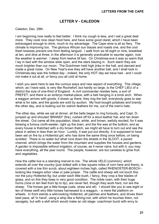## **LETTER V - CALEDON**

<span id="page-22-0"></span>Caledon, Dec. 29th.

I am beginning now really to feel better: I think my cough is less, and I eat a great deal more. They cook nice clean food here, and have some good claret, which I have been extravagant enough to drink, much to my advantage. The Cape wine is all so fiery. The climate is improving too. The glorious African sun blazes and roasts one, and the cool fresh breezes prevent one from feeling languid. I walk from six till eight or nine, breakfast at ten, and dine at three; in the afternoon it is generally practicable to saunter again, now the weather is warmer. I sleep from twelve till two. On Christmas-eve it was so warm that I lay in bed with the window wide open, and the stars blazing in. Such stars! they are much brighter than our moon. The Dutchmen held high jinks in the hall, and danced and made a great noise. On New Year's-eve they will have another ball, and I shall look in. Christmas-day was the hottest day - indeed, the only HOT day we have had - and I could not make it out at all, or fancy you all cold at home.

I wish you were here to see the curious ways and new aspect of everything. This village, which, as I have said, is very like Rochefort, but hardly so large, is the CHEF LIEU of a district the size of one-third of England. A civil commander resides here, a sort of PREFET; and there is an embryo market-place, with a bell hanging in a brick arch. When a waggon arrives with goods, it draws up there, they ring the bell, everybody goes to see what is for sale, and the goods are sold by auction. My host bought potatoes and brandy the other day, and is looking out for ostrich feathers for me, out of the men's hats.

The other day, while we sat at dinner, all the bells began to ring furiously, and Capt. Djumped up and shouted 'BRAND!' (fire), rushed off for a stout leather hat, and ran down the street. Out came all the population, black, white, and brown, awfully excited, for it was blowing a furious north-wester, right up the town, and the fire was at the bottom; and as every house is thatched with a dry brown thatch, we might all have to turn out and see the place in ashes in less than an hour. Luckily, it was put out directly. It is supposed to have been set on fire by a Hottentot girl, who has done the same thing once before, on being scolded. There is no water but what runs down the streets in the SLOOT, a paved channel, which brings the water from the mountain and supplies the houses and gardens. A garden is impossible without irrigation, of course, as it never rains; but with it, you may have everything, all the year round. The people, however, are too careless to grow fruit and vegetables.

How the cattle live is a standing marvel to me. The whole VELD (common), which extends all over the country (just dotted with a few square miles of corn here and there), is covered with a low thin scrub, about eighteen inches high, called RHENOSTER-BOSCH looking like meagre arbor vitae or pale juniper. The cattle and sheep will not touch this nor the juicy Hottentot fig; but under each little bush, I fancy, they crop a few blades of grass, and on this they keep in very good condition. The noble oxen, with their huge horns (nine or ten feet from tip to tip), are never fed, though they work hard, nor are the sheep. The horses get a little forage (oats, straw and all). I should like you to see eight or ten of these swift wiry little horses harnessed to a waggon, - a mere flat platform on wheels. In front stands a wild-looking Hottentot, all patches and feathers, and drives them best pace, all 'in hand', using a whip like a fishing-rod, with which he touches them, not savagely, but with a skill which would make an old stage- coachman burst with envy to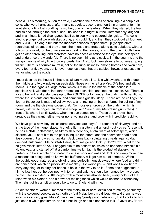behold. This morning, out on the veld, I watched the process of breaking-in a couple of colts, who were harnessed, after many struggles, second and fourth in a team of ten. In front stood a tiny foal cuddling its mother, one of the leaders. When they started, the foal had its neck through the bridle, and I hallooed in a fright; but the Hottentot only laughed, and in a minute it had disengaged itself quite coolly and capered alongside. The colts tried to plunge, but were whisked along, and couldn't, and then they stuck out all four feet and SKIDDED along a bit; but the rhenoster bushes tripped them up (people drive regardless of roads), and they shook their heads and trotted along quite subdued, without a blow or a word, for the drivers never speak to the horses, only to the oxen. Colts here get no other breaking, and therefore have no paces or action to the eye, but their speed and endurance are wonderful. There is no such thing as a cock-tail in the country, and the waggon teams of wiry little thoroughbreds, half Arab, look very strange to our eyes, going full tilt. There is a terrible murrain, called the lung-sickness, among horses and oxen here, every four or five years, but it never touches those that are stabled, however exposed to wet or wind on the roads.

I must describe the house I inhabit, as all are much alike. It is whitewashed, with a door in the middle and two windows on each side; those on the left are Mrs. D-'s bed and sitting rooms. On the right is a large room, which is mine; in the middle of the house is a spacious hall, with doors into other rooms on each side, and into the kitchen, &c. There is a yard behind, and a staircase up to the ZOLDER or loft, under the thatch, with partitions, where the servants and children, and sometimes guests, sleep. There are no ceilings; the floor of the zolder is made of yellow wood, and, resting on beams, forms the ceiling of my room, and the thatch alone covers that. No moss ever grows on the thatch, which is brown, with white ridges. In front is a stoep, with 'blue gums' (Australian gum-trees) in front of it, where I sit till twelve, when the sun comes on it. These trees prevail here greatly, as they want neither water nor anything else, and grow with incredible rapidity.

We have got a new 'boy' (all coloured servants are 'boys,' - a remnant of slavery), and he is the type of the nigger slave. A thief, a liar, a glutton, a drunkard - but you can't resent it; he has a NAIF, half-foolish, half-knavish buffoonery, a total want of self-respect, which disarms you. I sent him to the post to inquire for letters, and the postmaster had been tipsy over-night and was not awake. Jack came back spluttering threats against 'dat domned Dutchman. Me no WANT (like) him; me go and kick up dom'd row. What for he no give Missis letter?' &c. I begged him to be patient; on which he bonneted himself in a violent way, and started off at a pantomime walk. Jack is the product of slavery: he pretends to be a simpleton in order to do less work and eat and drink and sleep more than a reasonable being, and he knows his buffoonery will get him out of scrapes. Withal, thoroughly good- natured and obliging, and perfectly honest, except where food and drink are concerned, which he pilfers like a monkey. He worships S-, and won't allow her to carry anything, or to dirty her hands, if he is in the way to do it. Some one suggested to him to kiss her, but he declined with terror, and said he should be hanged by my orders if he did. He is a hideous little negro, with a monstrous-shaped head, every colour of the rainbow on his clothes, and a power of making faces which would enchant a schoolboy. The height of his ambition would be to go to England with me.

An old 'bastaard' woman, married to the Malay tailor here, explained to me my popularity with the coloured people, as set forth by 'dat Malay boy', my driver. He told them he was sure I was a 'very great Missis', because of my 'plenty good behaviour'; that I spoke to him just as to a white gentleman, and did not 'laugh and talk nonsense talk'. 'Never say "Here,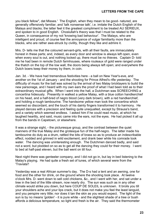you black fellow", dat Misses.' The English, when they mean to be good- natured, are generally offensively familiar, and 'talk nonsense talk', i.e. imitate the Dutch English of the Malays and blacks; the latter feel it the greatest compliment to be treated AU SERIEUX, and spoken to in good English. Choslullah's theory was that I must be related to the Queen, in consequence of my not 'knowing bad behaviour'. The Malays, who are intelligent and proud, of course feel the annoyance of vulgar familiarity more than the blacks, who are rather awe-struck by civility, though they like and admire it.

Mrs. D- tells me that the coloured servant-girls, with all their faults, are immaculately honest in these parts; and, indeed, as every door and window is always left open, even when every soul is out, and nothing locked up, there must be no thieves. Captain D- told me he had been in remote Dutch farmhouses, where rouleaux of gold were ranged under the thatch on the top of the low wall, the doors being always left open; and everywhere the Dutch boers keep their money by them, in coin.

Jan. 3d. - We have had tremendous festivities here - a ball on New Year's-eve, and another on the 1st of January - and the shooting for Prince Alfred's rifle yesterday. The difficulty of music for the ball was solved by the arrival of two Malay bricklayers to build the new parsonage, and I heard with my own ears the proof of what I had been told as to their extraordinary musical gifts. When I went into the hall, a Dutchman was SCREECHING a concertina hideously. Presently in walked a yellow Malay, with a blue cotton handkerchief on his head, and a half-bred of negro blood (very dark brown), with a red handkerchief, and holding a rough tambourine. The handsome yellow man took the concertina which seemed so discordant, and the touch of his dainty fingers transformed it to harmony. He played dances with a precision and feeling quite unequalled, except by Strauss's band, and a variety which seemed endless. I asked him if he could read music, at which he laughed heartily, and said, music came into the ears, not the eyes. He had picked it all up from the bands in Capetown, or elsewhere.

It was a strange sight, - the picturesque group, and the contrast between the quiet manners of the true Malay and the grotesque fun of the half-negro. The latter made his tambourine do duty as a drum, rattled the bits of brass so as to produce an indescribable effect, nodded and grinned in wild excitement, and drank beer while his comrade took water. The dancing was uninteresting enough. The Dutchmen danced badly, and said not a word, but plodded on so as to get all the dancing they could for their money. I went to bed at half-past eleven, but the ball went on till four.

Next night there was genteeler company, and I did not go in, but lay in bed listening to the Malay's playing. He had quite a fresh set of tunes, of which several were from the 'Traviata'!

Yesterday was a real African summer's day. The D-s had a tent and an awning, one for food and the other for drink, on the ground where the shooting took place. At twelve o'clock Mrs. D- went down to sell cold chickens, &c., and I went with her, and sat under a tree in the bed of the little stream, now nearly dry. The sun was such as in any other climate would strike you down, but here COUP DE SOLEIL is unknown. It broils you till your shoulders ache and your lips crack, but it does not make you feel the least languid, and you perspire very little; nor does it tan the skin as you would expect. The light of the sun is by no means 'golden' - it is pure white - and the slightest shade of a tree or bush affords a delicious temperature, so light and fresh is the air. They said the thermometer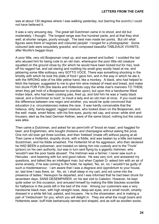was at about 130 degrees where I was walking yesterday, but (barring the scorch) I could not have believed it.

It was a very amusing day. The great tall Dutchmen came in to shoot, and did but moderately, I thought. The longest range was five hundred yards, and at that they shot well; at shorter ranges, poorly enough. The best man made ten points. But oh! what figures were there of negroes and coloured people! I longed for a photographer. Some coloured lads were exquisitely graceful, and composed beautiful TABLEAUX VIVANTS, after Murillo's beggar-boys.

A poor little, very old Bosjesman crept up, and was jeered and bullied. I scolded the lad who abused him for being rude to an old man, whereupon the poor little old creature squatted on the ground close by (for which he would have been kicked but for me), took off his ragged hat, and sat staring and nodding his small grey woolly head at me, and jabbering some little soliloquy very SOTTO VOCE. There was something shocking in the timidity with which he took the plate of food I gave him, and in the way in which he ate it, with the WRONG side of his little yellow hand, like a monkey. A black, who had helped to fetch the hamper, suggested to me to give him wine instead of meat and bread, and make him drunk FOR FUN (the blacks and Hottentots copy the white man's manners TO THEM, when they get hold of a Bosjesman to practise upon); but upon this a handsome West Indian black, who had been cooking pies, fired up, and told him he was a 'nasty black rascal, and a Dutchman to boot', to insult a lady and an old man at once. If you could see the difference between one negro and another, you would be quite convinced that education (i.e. circumstances) makes the race. It was hardly conceivable that the hideous, dirty, bandy-legged, ragged creature, who looked down on the Bosjesman, and the well- made, smart fellow, with his fine eyes, jaunty red cap, and snow- white shirt and trousers, alert as the best German Kellner, were of the same blood; nothing but the colour was alike.

Then came a Dutchman, and asked for six penn'orth of 'brood en kaas', and haggled for beer; and Englishmen, who bought chickens and champagne without asking the price. One rich old boer got three lunches, and then 'trekked' (made off) without paying at all. Then came a Hottentot, stupidly drunk, with a fiddle, and was beaten by a little red-haired Scotchman, and his fiddle smashed. The Hottentot hit at his aggressor, who then declared he HAD BEEN a policeman, and insisted on taking him into custody and to the 'Tronk' (prison) on his own authority, but was in turn sent flying by a gigantic Irishman, who 'wouldn't see the poor baste abused'. The Irishman was a farmer; I never saw such a Hercules - and beaming with fun and good nature. He was very civil, and answered my questions, and talked like an intelligent man; but when Captain D- asked him with an air of some anxiety, if he was coming to the hotel, he replied, 'No, sir, no; I wouldn't be guilty of such a misdemeanour. I am aware that I was a disgrace and opprobrium to your house, sir, last time I was there, sir. No, sir, I shall sleep in my cart, and not come into the presence of ladies.' Hereupon he departed, and I was informed that he had been drunk for seventeen days, SANS DESEMPARER, on his last visit to Caledon. However, he kept quite sober on this occasion, and amused himself by making the little blackies scramble for halfpence in the pools left in the bed of the river. Among our customers was a very handsome black man, with high straight nose, deep-set eyes, and a small mouth, smartly dressed in a white felt hat, paletot, and trousers. He is the shoemaker, and is making a pair of 'Veldschoen' for you, which you will delight in. They are what the rough boers and Hottentots wear, buff-hide barbarously tanned and shaped, and as soft as woollen socks.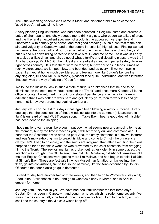The Othello-looking shoemaker's name is Moor, and his father told him he came of a 'good breed'; that was all he knew.

A very pleasing English farmer, who had been educated in Belgium, came and ordered a bottle of champagne, and shyly begged me to drink a glass, whereupon we talked of crops and the like; and an excellent specimen of a colonist he appeared: very gentle and unaffected, with homely good sense, and real good breeding - such a contrast to the pert airs and vulgarity of Capetown and of the people in (colonial) high places. Finding we had no carriage, he posted off and borrowed a cart of one man and harness of another, and put his and his son's riding horses to it, to take Mrs. D- and me home. As it was still early, he took us a 'little drive'; and oh, ye gods! what a terrific and dislocating pleasure was that! At a hard gallop, Mr. M- (with the mildest and steadiest air and with perfect safety) took us right across country. It is true there were no fences; but over bushes, ditches, lumps of rock, watercourses, we jumped, flew, and bounded, and up every hill we went racing pace. I arrived at home much bewildered, and feeling more like Burger's Lenore than anything else, till I saw Mr. M-'s steady, pleasant face quite undisturbed, and was informed that such was the way of driving of Cape farmers.

We found the luckless Jack in such a state of furious drunkenness that he had to be dismissed on the spot, not without threats of the 'Tronk', and once more Kleenboy fills the office of boots. He returned in a ludicrous state of penitence and emaciation, frankly admitting that it was better to work hard and get 'plenty grub', than to work less and get none; - still, however, protesting against work at all.

January 7th. - For the last four days it has again been blowing a wintry hurricane. Every one says that the continuance of these winds so late into the summer (this answers to July) is unheard of, and MUST cease soon. In Table Bay, I hear a good deal of mischief has been done to the shipping.

I hope my long yarns won't bore you. I put down what seems new and amusing to me at the moment, but by the time it reaches you, it will seem very dull and commonplace. I hear that the Scotchman who attacked poor Aria, the crazy Hottentot, is a 'revival lecturer', and was 'simply exhorting him to break his fiddle and come to Christ' (the phrase is a clergyman's, I beg to observe); and the saints are indignant that, after executing the pious purpose as far as the fiddle went, he was prevented by the chief constable from dragging him to the Tronk. The 'revival' mania has broken out rather violently in some places; the infection was brought from St. Helena, I am told. At Capetown, old Abdool Jemaalee told me that English Christians were getting more like Malays, and had begun to hold 'Kalifahs' at Simon's Bay. These are festivals in which Mussulman fanatics run knives into their flesh, go into convulsions, &c, to the sound of music, like the Arab described by Houdin. Of course the poor blacks go quite demented.

I intend to stay here another two or three weeks, and then to go to Worcester - stay a bit; Paarl, ditto; Stellenbosch, ditto - and go to Capetown early in March, and in April to embark for home.

January 15th. - No mail in yet. We have had beautiful weather the last three days. Captain D- has been in Capetown, and bought a horse, which he rode home seventy-five miles in a day and a half, - the beast none the worse nor tired. I am to ride him, and so shall see the country if the vile cold winds keep off.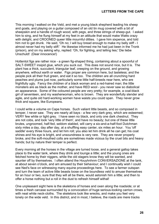This morning I walked on the Veld, and met a young black shepherd leading his sheep and goats, and playing on a guitar composed of an old tin mug covered with a bit of sheepskin and a handle of rough wood, with pegs, and three strings of sheep-gut. I asked him to sing, and he flung himself at my feet in an attitude that would make Watts crazy with delight, and CROONED queer little mournful ditties. I gave him sixpence, and told him not to get drunk. He said, 'Oh no; I will buy bread enough to make my belly stiff - I almost never had my belly stiff.' He likewise informed me he had just been in the Tronk (prison), and on my asking why, replied: 'Oh, for fighting, and telling lies;' Die liebe Unschuld! (Dear innocence!)

Hottentot figs are rather nice - a green fig-shaped thing, containing about a spoonful of SALT-SWEET insipid glue, which you suck out. This does not sound nice, but it is. The plant has a thick, succulent, triangular leaf, creeping on the ground, and growing anywhere, without earth or water. Figs proper are common here, but tasteless; and the people pick all their fruit green, and eat it so too. The children are all crunching hard peaches and plums just now, particularly some little half-breeds near here, who are frightfully ugly. Fancy the children of a black woman and a red-haired man; the little monsters are as black as the mother, and have RED wool - you never saw so diabolical an appearance. Some of the coloured people are very pretty; for example, a coal-black girl of seventeen, and my washerwoman, who is brown. They are wonderfully slender and agile, and quite old hard-working women have waists you could span. They never grow thick and square, like Europeans.

I could write a volume on Cape horses. Such valiant little beasts, and so composed in temper, I never saw. They are nearly all bays - a few very dark grey, which are esteemed; VERY few white or light grey. I have seen no black, and only one dark chestnut. They are not cobs, and look 'very little of them', and have no beauty; but one of these little brutes, ungroomed, half-fed, seldom stabled, will carry a six-and-a-half-foot Dutchman sixty miles a day, day after day, at a shuffling easy canter, six miles an hour. You 'off saddle' every three hours, and let him roll; you also let him drink all he can get; his coat shines and his eye is bright, and unsoundness is very rare. They are never properly broke, and the soft-mouthed colts are sometimes made vicious by the cruel bits and heavy hands; but by nature their temper is perfect.

Every morning all the horses in the village are turned loose, and a general gallop takes place to the water tank, where they drink and lounge a little; and the young ones are fetched home by their niggers, while the old stagers know they will be wanted, and saunter off by themselves. I often attend the Houyhnhnm CONVERSAZIONE at the tank, at about seven o'clock, and am amused by their behaviour; and I continually wish I could see Ned's face on witnessing many equine proceedings here. To see a farmer outspan and turn the team of active little beasts loose on the boundless veld to amuse themselves for an hour or two, sure that they will all be there, would astonish him a little; and then to offer a horse nothing but a roll in the dust to refresh himself withal!

One unpleasant sight here is the skeletons of horses and oxen along the roadside; or at times a fresh carcase surrounded by a convocation of huge serious-looking carrion crows, with neat white neck-cloths. The skeletons look like wrecks, and make you feel very lonely on the wide veld. In this district, and in most, I believe, the roads are mere tracks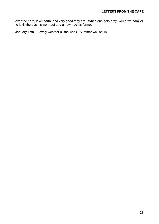over the hard, level earth, and very good they are. When one gets rutty, you drive parallel to it, till the bush is worn out and a new track is formed.

January 17th. - Lovely weather all the week. Summer well set in.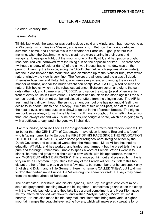#### **LETTER VI - CALEDON**

<span id="page-29-0"></span>Caledon, January 19th.

#### Dearest Mother,

Till this last week, the weather was pertinaciously cold and windy; and I had resolved to go to Worcester, which lies in a 'Kessel', and is really hot. But now the glorious African summer is come, and I believe this is the weather of Paradise. I got up at four this morning, when the Dutchmen who had slept here were starting in their carts and waggons. It was quite light; but the moon shone brilliantly still, and had put on a bright rose-coloured veil, borrowed from the rising sun on the opposite horizon. The freshness (without a shadow of cold or damp) of the air was indescribable - no dew was on the ground. I went up the hill-side, along the 'Sloot' (channel, which supplies all our water), into the 'Kloof' between the mountains, and clambered up to the 'Venster Klip', from which natural window the view is very fine. The flowers are all gone and the grass all dead. Rhenoster boschjes and Hottentot fig are green everywhere, and among the rocks all manner of shrubs, and far too much 'Wacht een beetje' (WAIT A BIT), a sort of series of natural fish-hooks, which try the robustest patience. Between seven and eight, the sun gets rather hot, and I came in and TUBBED, and sat on the stoep (a sort of terrace, in front of every house in South Africa). I breakfast at nine, sit on the stoep again till the sun comes round, and then retreat behind closed shutters from the stinging sun. The AIR is fresh and light all day, though the sun is tremendous; but one has no languid feeling or desire to lie about, unless one is sleepy. We dine at two or half-past, and at four or five the heat is over, and one puts on a shawl to go out in the afternoon breeze. The nights are cool, so as always to want one blanket. I still have a cough; but it is getting better, so that I can always eat and walk. Mine host has just bought a horse, which he is going to try with a petticoat to-day, and if he goes well I shall ride.

I like this inn-life, because I see all the 'neighbourhood' - farmers and traders - whom I like far better than the GENTILITY of Capetown. I have given letters to England to a 'boer', who is 'going home', i.e. to Europe, the FIRST OF HIS RACE SINCE THE REVOCATION OF THE EDICT OF NANTES, when some poor refugees were inveigled hither by the Dutch Governor, and oppressed worse than the Hottentots. M. de Villiers has had no education AT ALL, and has worked, and traded, and farmed, - but the breed tells; he is a pure and thorough Frenchman, unable to speak a word of French. When I went in to dinner, he rose and gave me a chair with a bow which, with his appearance, made me ask, 'MONSIEUR VIENT D'ARRIVER?' This at once put him out and pleased him. He is very unlike a Dutchman. If you think that any of the French will feel as I felt to this fardistant brother of theirs, pray give him a few letters; but remember that he can speak only English and Dutch, and a little German. Here his name is CALLED 'Filljee', but I told him to drop that barbarism in Europe; De Villiers ought to speak for itself. He says they came from the neighbourhood of Bordeaux.

The postmaster, Heer Klein, and his old Pylades, Heer Ley, are great cronies of mine stout old greybeards, toddling down the hill together. I sometimes go and sit on the stoep with the two old bachelors, and they take it as a great compliment; and Heer Klein gave me my letters all decked with flowers, and wished 'Vrolyke tydings, Mevrouw,' most heartily. He has also made his tributary mail-cart Hottentots bring from various higher mountain ranges the beautiful everlasting flowers, which will make pretty wreaths for J-.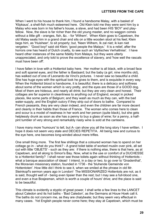When I went to his house to thank him, I found a handsome Malay, with a basket of 'Klipkaus', a shell-fish much esteemed here. Old Klein told me they were sent him by a Malay who was born in his father's house, a slave, and had been HIS 'BOY' and playfellow. Now, the slave is far richer than the old young master, and no waggon comes without a little gift - oranges, fish, &c. - for 'Wilhem'. When Klein goes to Capetown, the old Malay seats him in a grand chair and sits on a little wooden stool at his feet; Klein begs him, as 'Huisheer', to sit properly; but, 'Neen Wilhem, Ik zal niet; ik kan niet vergeten.' 'Good boy!' said old Klein; 'good people the Malays.' It is a relief, after the horrors one has heard of Dutch cruelty, to see such an 'idyllisches Verhaltniss'. I have heard other instances of the same fidelity from Malays, but they were utterly unappreciated, and only told to prove the excellence of slavery, and 'how well the rascals must have been off'.

I have fallen in love with a Hottentot baby here. Her mother is all black, with a broad face and soft spaniel eyes, and the father is Bastaard; but the baby (a girl, nine months old), has walked out of one of Leonardo da Vinci's pictures. I never saw so beautiful a child. She has huge eyes with the spiritual look he gives to them, and is exquisite in every way. When the Hottentot blood is handsome, it is beautiful; there is a delicacy and softness about some of the women which is very pretty, and the eyes are those of a GOOD dog. Most of them are hideous, and nearly all drink; but they are very clean and honest. Their cottages are far superior in cleanliness to anything out of England, except in picked places, like some parts of Belgium; and they wash as much as they can, with the bad water-supply, and the English outcry if they strip out of doors to bathe. Compared to French peasants, they are very clean indeed, and even the children are far more decent and cleanly in their habits than those of France. The woman who comes here to clean and scour is a model of neatness in her work and her person (quite black), but she gets helplessly drunk as soon as she has a penny to buy a glass of wine; for a penny, a halfpint tumbler of very strong and remarkably nasty wine is sold at the canteens.

I have many more 'humours' to tell, but A- can show you all the long story I have written. I hope it does not seem very stale and DECIES REPETITA. All being new and curious to the eye here, one becomes long-winded about mere trifles.

One small thing more. The first few shillings that a coloured woman has to spend on her cottage go in - what do you think? - A grand toilet table of worked muslin over pink, all set out with little 'OBJETS' - such as they are: if there is nothing else, there is that here, as at Capetown, and all along to Simon's Bay. Now, what is the use or comfort of a DUCHESSE to a Hottentot family? I shall never see those toilets again without thinking of Hottentots what a baroque association of ideas! I intend, in a day or two, to go over to 'Gnadenthal', the Moravian missionary station, founded in 1736 - the 'bluhende Gemeinde von Hottentoten'. How little did I think to see it, when we smiled at the phrase in old Mr. Steinkopf's sermon years ago in London! The MISSIONARIZED Hottentots are not, as it is said, thought well of - being even tipsier than the rest; but I may see a full-blood one, and even a true Bosjesman, which is worth a couple of hours' drive; and the place is said to be beautiful.

This climate is evidently a styptic of great power, I shall write a few lines to the LANCET about Caledon and its hot baths - 'Bad Caledon', as the Germans at Houw Hoek call it. The baths do not concern me, as they are chalybeate; but they seem very effectual in many cases. Yet English people never come here; they stay at Capetown, which must be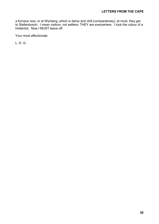a furnace now, or at Wynberg, which is damp and chill (comparatively); at most, they get to Stellenbosch. I mean visitors, not settlers; THEY are everywhere. I look the colour of a Hottentot. Now I MUST leave off.

Your most affectionate

L. D. G.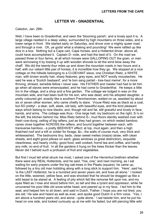#### **LETTER VII - GNADENTHAL**

<span id="page-32-0"></span>Caledon, Jan. 28th.

Well, I have been to Gnadenthal, and seen the 'blooming parish', and a lovely spot it is. A large village nestled in a deep valley, surrounded by high mountains on three sides, and a lower range in front. We started early on Saturday, and drove over a mighty queer road, and through a river. Oh, ye gods! what a shaking and pounding! We were rattled up like dice in a box. Nothing but a Cape cart, Cape horses, and a Hottentot driver, above all, could have accomplished it. Captain D- rode, and had the best of it. On the road we passed three or four farms, at all which horses were GALLOPING OUT the grain, or men were winnowing it by tossing it up with wooden shovels to let the wind blow away the chaff. We did the twenty-four miles up and down the mountain roads in two hours and a half, with our valiant little pair of horses; it is incredible how they go. We stopped at a nice cottage on the hillside belonging to a CI-DEVANT slave, one Christian Rietz, a WHITE man, with brown woolly hair, sharp features, grey eyes, and NOT woolly moustaches. He said he was a 'Scotch bastaard', and 'le bon sang parlait - tres-haut meme', for a more thriving, shrewd, sensible fellow I never saw. His FATHER and master had had to let him go when all slaves were emancipated, and he had come to Gnadenthal. He keeps a little inn in the village, and a shop and a fine garden. The cottage we lodged in was on the mountain side, and had been built for his son, who was dead; and his adopted daughter, a pretty coloured girl, exactly like a southern Frenchwoman, waited on us, assisted by about six or seven other women, who came chiefly to stare. Vrouw Rietz was as black as a coal, but SO pretty! - a dear, soft, sleek, old lady, with beautiful eyes, and the kind pleasant ways which belong to nice blacks; and, though old and fat, still graceful and lovely in face, hands, and arms. The cottage was thus:- One large hall; my bedroom on the right, S-'s on the left; the kitchen behind me; Miss Rietz behind S-; mud floors daintily washed over with fresh cow-dung; ceiling of big rafters, just as they had grown, on which rested bamboo canes close together ACROSS the rafters, and bound together between each, with transverse bamboo - a pretty BEEHIVEY effect; at top, mud again, and then a high thatched roof and a loft or zolder for forage, &c.; the walls of course mud, very thick and whitewashed. The bedrooms tiny; beds, clean sweet melies (maize) straw, with clean sheets, and eight good pillows on each; glass windows (a great distinction), exquisite cleanliness, and hearty civility; good food, well cooked; horrid tea and coffee, and hardly any milk; no end of fruit. In all the gardens it hung on the trees thicker than the leaves. Never did I behold such a profusion of fruit and vegetables.

But first I must tell what struck me most, I asked one of the Herrenhut brethren whether there were any REAL Hottentots, and he said, 'Yes, one;' and next morning, as I sat waiting for early prayers under the big oak-trees in the Plaats (square), he came up, followed by a tiny old man hobbling along with a long stick to support him. 'Here', said he, 'is the LAST Hottentot; he is a hundred and seven years old, and lives all alone.' I looked on the little, wizened, yellow face, and was shocked that he should be dragged up like a wild beast to be stared at. A feeling of pity which felt like remorse fell upon me, and my eyes filled as I rose and stood before him, so tall and like a tyrant and oppressor, while he uncovered his poor little old snow-white head, and peered up in my face. I led him to the seat, and helped him to sit down, and said in Dutch, 'Father, I hope you are not tired; you are old.' He saw and heard as well as ever, and spoke good Dutch in a firm voice. 'Yes, I am above a hundred years old, and alone - quite alone.' I sat beside him, and he put his head on one side, and looked curiously up at me with his faded, but still piercing little wild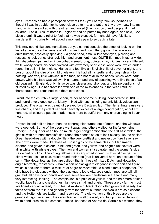eyes. Perhaps he had a perception of what I felt - yet I hardly think so; perhaps he thought I was in trouble, for he crept close up to me, and put one tiny brown paw into my hand, which he stroked with the other, and asked (like most coloured people) if I had children. I said, 'Yes, at home in England;' and he patted my hand again, and said, 'God bless them!' It was a relief to feel that he was pleased, for I should have felt like a murderer if my curiosity had added a moment's pain to so tragic a fate.

This may sound like sentimentalism; but you cannot conceive the effect of looking on the last of a race once the owners of all this land, and now utterly gone. His look was not quite human, physically speaking; - a good head, small wild-beast eyes, piercing and restless; cheek-bones strangely high and prominent, nose QUITE flat, mouth rather wide; thin shapeless lips, and an indescribably small, long, pointed chin, with just a very little soft white woolly beard; his head covered with extremely short close white wool, which ended round the poll in little ringlets. Hands and feet like an English child of seven or eight, and person about the size of a child of eleven. He had all his teeth, and though shrunk to nothing, was very little wrinkled in the face, and not at all in the hands, which were dark brown, while his face was yellow. His manner, and way of speaking were like those of an old peasant in England, only his voice was clearer and stronger, and his perceptions not blunted by age. He had travelled with one of the missionaries in the year 1790, or thereabouts, and remained with them ever since.

I went into the church - a large, clean, rather handsome building, consecrated in 1800 and heard a very good sort of Litany, mixed with such singing as only black voices can produce. The organ was beautifully played by a Bastaard lad. The Herrenhuters use very fine chants, and the perfect ear and heavenly voices of a large congregation, about six hundred, all coloured people, made music more beautiful than any chorus-singing I ever heard.

Prayers lasted half an hour; then the congregation turned out of doors, and the windows were opened. Some of the people went away, and others waited for the 'allgemeine Predigt'. In a quarter of an hour a much larger congregation than the first assembled, the girls all with net-handkerchiefs tied round their heads so as to look exactly like the ancient Greek head-dress with a double fillet - the very prettiest and neatest coiffure I ever saw. The gowns were made like those of English girls of the same class, but far smarter, cleaner, and gayer in colour - pink, and green, and yellow, and bright blue; several were all in white, with white gloves. The men and women sit separate, and the women's side was a bed of tulips. The young fellows were very smart indeed, with muslin or gauze, either white, pink, or blue, rolled round their hats (that is universal here, on account of the sun). The Hottentots, as they are called - that is, those of mixed Dutch and Hottentot origin (correctly, 'bastaards') - have a sort of blackguard elegance in their gait and figure which is peculiar to them; a mixture of negro or Mozambique blood alters it altogether. The girls have the elegance without the blackguard look; ALL are slender, most are tall; all graceful, all have good hands and feet; some few are handsome in the face and many very interesting- looking. The complexion is a pale olive-yellow, and the hair more or less woolly, face flat, and cheekbones high, eyes small and bright. These are by far the most intelligent - equal, indeed, to whites. A mixture of black blood often gives real beauty, but takes off from the 'air', and generally from the talent; but then the blacks are so pleasant, and the Hottentots are taciturn and reserved. The old women of this breed are the grandest hags I ever saw; they are clean and well dressed, and tie up their old faces in white handkerchiefs like corpses, - faces like those of Andrea del Sarto's old women; they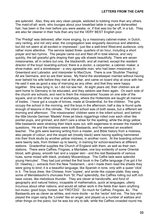are splendid. Also, they are very clean people, addicted to tubbing more than any others. The maid-of-all- work, who lounges about your breakfast table in rags and dishevelled hair, has been in the river before you were awake, or, if that was too far off, in a tub. They are also far cleaner in their huts than any but the VERY BEST English poor.

The 'Predigt' was delivered, after more singing, by a missionary cabinet-maker, in Dutch, very ranting, and not very wise; the congregation was singularly decorous and attentive, but did not seem at all excited or impressed - just like a well-bred West-end audience, only rather more attentive. The service lasted three- quarters of an hour, including a short prayer and two hymns. The people came out and filed off in total silence, and very quickly, the tall graceful girls draping their gay silk shawls beautifully. There are seven missionaries, all in orders but one, the blacksmith, and all married, except the resident director of the boys' boarding-school; there is a doctor, a carpenter, a cabinet- maker, a shoe-maker, and a storekeeper - a very agreeable man, who had been missionary in Greenland and Labrador, and interpreter to MacClure. There is one 'Studirter Theolog'. All are Germans, and so are their wives. My friend the storekeeper married without having ever beheld his wife before they met at the altar, and came on board ship at once with her. He said it was as good a way of marrying as any other, and that they were happy together. She was lying in, so I did not see her. At eight years old, their children are all sent home to Germany to be educated, and they seldom see them again. On each side of the church are schools, and next to them the missionaries' houses on one side of the square, and on the other a row of workshops, where the Hottentots are taught all manner of trades. I have got a couple of knives, made at Gnadenthal, for the children. The girls occupy the school in the morning, and the boys in the afternoon; half a day is found quite enough of lessons in this climate. The infant school was of both sexes, but a different set morning and afternoon. The missionaries' children were in the infant school; and behind the little blonde German 'Madels' three jet black niggerlings rolled over each other like pointer-pups, and grinned, and didn't care a straw for the spelling; while the dingy yellow little bastaards were straining their black eyes out, with eagerness to answer the master's questions. He and the mistress were both Bastaards, and he seemed an excellent teacher. The girls were learning writing from a master, and Bible history from a mistress, also people of colour; and the stupid set (mostly black) were having spelling hammered into their thick skulls by another yellow mistress, in another room. At the boarding school were twenty lads, from thirteen up to twenty, in training for school-teachers at different stations. Gnadenthal supplies the Church of England with them, as well as their own stations. There were Caffres, Fingoes, a Mantatee, one boy evidently of some Oriental blood, with glossy, smooth hair and a copper skin - and the rest Bastaards of various hues, some mixed with black, probably Mozambique. The Caffre lads were splendid young Hercules'. They had just printed the first book in the Caffre language (I've got it for Dr. Hawtrey,) - extracts from the New Testament, - and I made them read the sheets they were going to bind; it is a beautiful language, like Spanish in tone, only with a queer 'click' in it. The boys drew, like Chinese, from 'copies', and wrote like copper-plate; they sang some of Mendelssohn's choruses from 'St. Paul' splendidly, the Caffres rolling out soft rich bass voices, like melodious thunder. They are clever at handicrafts, and fond of geography and natural history, incapable of mathematics, quick at languages, utterly incurious about other nations, and would all rather work in the fields than learn anything but music; good boys, honest, but 'TROTZIG'. So much for Caffres, Fingoes, &c. The Bastaards are as clever as whites, and more docile - so the 'rector' told me. The boy who played the organ sang the 'Lorelei' like an angel, and played us a number of waltzes and other things on the piano, but he was too shy to talk; while the Caffres crowded round me,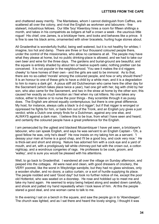and chattered away merrily. The Mantatees, whom I cannot distinguish from Caffres, are scattered all over the colony, and rival the English as workmen and labourers - fine stalwart, industrious fellows. Our little 'boy' Kleenboy hires a room for fifteen shillings a month, and takes in his compatriots as lodgers at half a crown a week - the usurious little rogue! His chief, one James, is a bricklayer here, and looks and behaves like a prince. It is fine to see his black arms, ornamented with silver bracelets, hurling huge stones about.

All Gnadenthal is wonderfully fruitful, being well watered, but it is not healthy for whites; I imagine, too hot and damp. There are three or four thousand coloured people there, under the control of the missionaries, who allow no canteens at all. The people may have what they please at home, but no public drinking-place is allowed, and we had to take our own beer and wine for the three days. The gardens and burial-ground are beautiful, and the square is entirely shaded by about ten or twelve superb oaks; nothing prettier can be conceived. It is not popular in the neighbourhood. 'You see it makes the d-d niggers cheeky' to have homes of their own - and the girls are said to be immoral. As to that, there are no so-called 'morals' among the coloured people, and how or why should there? It is an honour to one of these girls to have a child by a white man, and it is a degradation to him to marry a dark girl. A pious stiff old Dutchwoman who came here the other day for the Sacrament (which takes place twice a year), had one girl with her, big with child by her son, who also came for the Sacrament, and two in the straw at home by the other son; this caused her exactly as much emotion as I feel when my cat kittens. No one takes any notice, either to blame or to nurse the poor things - they scramble through it as pussy does. The English are almost equally contemptuous; but there is one great difference. My host, for instance, always calls a black 'a d-d nigger'; but if that nigger is wronged or oppressed he fights for him, or bails him out of the Tronk, and an English jury gives a just verdict; while a Dutch one simply finds for a Dutchman, against any one else, and ALWAYS against a dark man. I believe this to be true, from what I have seen and heard; and certainly the coloured people have a great preference for the English.

I am persecuted by the ugliest and blackest Mozambiquer I have yet seen, a bricklayer's labourer, who can speak English, and says he was servant to an English Captain - 'Oh, a good fellow he was, only he's dead!' He now insists on my taking him as a servant. 'I dessay your man at home is a good chap, and I'll be a good boy, and cook very nice.' He is thick-set and short and strong. Nature has adorned him with a cock eye and a yard of mouth, and art, with a prodigiously tall white chimney-pot hat with the crown out, a cotton nightcap, and a wondrous congeries of rags. He professes to be cook, groom, and 'walley', and is sure you would be pleased with his attentions.

Well, to go back to Gnadenthal. I wandered all over the village on Sunday afternoon, and peeped into the cottages. All were neat and clean, with good dressers of crockery, the VERY poorest, like the worst in Weybridge sandpits; but they had no glass windows, only a wooden shutter, and no doors; a calico curtain, or a sort of hurdle supplying its place. The people nodded and said 'Good day!' but took no further notice of me, except the poor old Hottentot, who was seated on a doorstep. He rose and hobbled up to meet me and take my hand again. He seemed to enjoy being helped along and seated down carefully, and shook and patted my hand repeatedly when I took leave of him. At this the people stared a good deal, and one woman came to talk to me.

In the evening I sat on a bench in the square, and saw the people go in to 'Abendsegen'. The church was lighted, and as I sat there and heard the lovely singing, I thought it was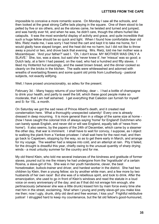impossible to conceive a more romantic scene. On Monday I saw all the schools, and then looked at the great strong Caffre lads playing in the square. One of them stood to be pelted by five or six others, and as the stones came, he twisted and turned and jumped, and was hardly ever hit, and when he was, he didn't care, though the others hurled like catapults. It was the most wonderful display of activity and grace, and quite incredible that such a huge fellow should be so quick and light. When I found how comfortable dear old Mrs. Rietz made me, I was sorry I had hired the cart and kept it to take me home, for I would gladly have stayed longer, and the heat did me no harm; but I did not like to throw away a pound or two, and drove back that evening. Mrs. Rietz, told me her mother was a Mozambiquer. 'And your father?' said I. 'Oh, I don't know. MY MOTHER WAS ONLY A SLAVE.' She, too, was a slave, but said she 'never knew it', her 'missus' was so good; a Dutch lady, at a farm I had passed, on the road, who had a hundred and fifty slaves. I liked my Hottentot hut amazingly, and the sweet brown bread, and the dinner cooked so cleanly on the bricks in the kitchen. The walls were whitewashed and adorned with wreaths of everlasting flowers and some quaint old prints from Loutherburg - pastoral subjects, not exactly edifying.

Well, I have prosed unconscionably, so adieu for the present.

February 3d. - Many happy returns of your birthday, dear -. I had a bottle of champagne to drink your health, and partly to swell the bill, which these good people make so moderate, that I am half ashamed. I get everything that Caledon can furnish for myself and S- for 15L. a month.

On Saturday we got the sad news of Prince Albert's death, and it created real consternation here. What a thoroughly unexpected calamity! Every one is already dressed in deep mourning. It is more general than in a village of the same size at home - (how I have caught the colonial trick of always saying 'home' for England! Dutchmen who can barely speak English, and never did or will see England, equally talk of 'news from home'). It also seems, by the papers of the 24th of December, which came by a steamer the other day, that war is imminent. I shall have to wait for convoy, I suppose, as I object to walking the plank from a Yankee privateer. I shall wait here for the next mail, and then go back to Capetown, stopping by the way, so as to get there early in March, and arrange for my voyage. The weather had a relapse into cold, and an attempt at rain. Pity it failed, for the drought is dreadful this year, chiefly owing to the unusual quantity of sharp drying winds - a most unlucky summer for the country and for me.

My old friend Klein, who told me several instances of the kindness and gratitude of former slaves, poured out to me the misery he had undergone from the 'ingratitude' of a certain Rosina, a slave-girl of his. She was in her youth handsome, clever, the best horsebreaker, bullock-trainer and driver, and hardest worker in the district. She had two children by Klein, then a young fellow; six by another white man, and a few more by two husbands of her own race! But she was of a rebellious spirit, and took to drink. After the emancipation, she used to go in front of Klein's windows and read the statute in a loud voice on every anniversary of the day; and as if that did not enrage him enough, she pertinaciously (whenever she was a little drunk) kissed him by main force every time she met him in the street, exclaiming, 'Aha! when I young and pretty slave-girl you make kiss me then; now I ugly, drunk, dirty old devil and free woman, I kiss you!' Frightful retributive justice! I struggled hard to keep my countenance, but the fat old fellow's good-humoured,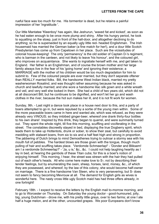rueful face was too much for me. His tormentor is dead, but he retains a painful impression of her 'ingratitude '.

Our little Mantatee 'Kleenboy' has again, like Jeshurun, 'waxed fat and kicked', as soon as he had eaten enough to be once more plump and shiny. After his hungry period, he took to squatting on the stoep, just in front of the hall-door, and altogether declining to do anything; so he is superseded by an equally ugly little red- headed Englishman. The Irish housemaid has married the German baker (a fine match for her!), and a dour little Scotch Presbyterian has come up from Capetown in her place. Such are the vicissitudes of colonial house-keeping! The only 'permanency' is the old soldier of Captain D-'s regiment, who is barman in the canteen, and not likely to leave 'his honour', and the coloured girl, who improves on acquaintance. She wants to ingratiate herself with me, and get taken to England. Her father is an Englishman, and of course the brown mother and her large family always live in the fear of his 'going home' and ignoring their existence; a MARRIAGE with the mother of his children would be too much degradation for him to submit to. Few of the coloured people are ever married, but they don't separate oftener than REALLY married folks. Bill, the handsome West Indian black, married my pretty washerwoman Rosalind, and was thought rather assuming because he was asked in church and lawfully married; and she wore a handsome lilac silk gown and a white wreath and veil, and very well she looked in them. She had a child of two years old, which did not at all disconcert Bill; but he continues to be dignified, and won't let her go and wash clothes in the river, because the hot sun makes her ill, and it is not fit work for women.

Sunday, 9th. - Last night a dance took place in a house next door to this, and a party of boers attempted to go in, but were repulsed by a sortie of the young men within. Some of the more peaceable boers came in here and wanted ale, which was refused, as they were already very VINOUS; so they imbibed ginger-beer, whereof one drank thirty-four bottles to his own share! Inspired by this drink, they began to quarrel, and were summarily turned out. They spent the whole night, till five this morning, scuffling and vociferating in the street. The constables discreetly stayed in bed, displaying the true Dogberry spirit, which leads them to take up Hottentots, drunk or sober, to show their zeal, but carefully to avoid meddling with stalwart boers, from six to six and a half feet high and strong in proportion. The jabbering of Dutch brings to mind Demosthenes trying to outroar a stormy sea with his mouth full of pebbles. The hardest blows are those given with the tongue, though much pulling of hair and scuffling takes place. 'Verdomde Schmeerlap!' - 'Donder and Bliksem! am I a verdomde Schmeerlap?' - 'Ja, u is,' &c., &c. I could not help laughing heartily as I lay in bed, at hearing the gambols of these Titan cubs; for this is a boer's notion of enjoying himself. This morning, I hear, the street was strewn with the hair they had pulled out of each other's heads. All who come here make love to S-; not by describing their tender feelings, but by enumerating the oxen, sheep, horses, land, money, &c., of which they are possessed, and whereof, by the law of this colony, she would become half-owner on marriage. There is a fine handsome Van Steen, who is very persevering; but S- does not seem to fancy becoming Mevrouw at all. The demand for English girls as wives is wonderful here. The nasty cross little ugly Scotch maid has had three offers already, in one fortnight!

February 18th. - I expect to receive the letters by the English mail to-morrow morning, and to go to Worcester on Thursday. On Saturday the young doctor - good-humoured, jolly, big, young Dutchman - drove me, with his pretty little greys, over to two farms; at one I ate half a huge melon, and at the other, uncounted grapes. We poor Europeans don't know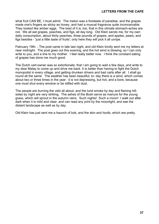what fruit CAN BE, I must admit. The melon was a foretaste of paradise, and the grapes made one's fingers as sticky as honey, and had a muscat fragrance quite inconceivable. They looked like amber eggs. The best of it is, too, that in this climate stomach-aches are not. We all eat grapes, peaches, and figs, all day long. Old Klein sends me, for my own daily consumption, about thirty peaches, three pounds of grapes, and apples, pears, and figs besides - 'just a little taste of fruits'; only here they will pick it all unripe.

February 19th. - The post came in late last night, and old Klein kindly sent me my letters at near midnight. The post goes out this evening, and the hot wind is blowing, so I can only write to you, and a line to my mother. I feel really better now. I think the constant eating of grapes has done me much good.

The Dutch cart-owner was so extortionate, that I am going to wait a few days, and write to my dear Malay to come up and drive me back. It is better than having to fight the Dutch monopolist in every village, and getting drunken drivers and bad carts after all. I shall go round all the same. The weather has been beautiful; to- day there is a wind, which comes about two or three times in the year: it is not depressing, but hot, and a bore, because one must shut every window or be stifled with dust.

The people are burning the veld all about, and the lurid smoke by day and flaming hillsides by night are very striking. The ashes of the Bosh serve as manure for the young grass, which will sprout in the autumn rains. Such nights! Such a moon! I walk out after dark when it is mild and clear, and can read any print by the moonlight, and see the distant landscape as well as by day.

Old Klein has just sent me a haunch of bok, and the skin and hoofs, which are pretty.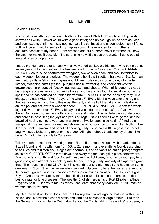## **LETTER VIII**

#### <span id="page-39-0"></span>Caledon, Sunday.

You must have fallen into second childhood to think of PRINTING such rambling hasty scrawls as I write. I never could write a good letter; and unless I gallop as hard as I can, and don't stop to think, I can say nothing; so all is confused and unconnected: only I fancy YOU will be amused by some of my 'impressions'. I have written to my mother an accurate account of my health. I am dressed and out of doors never later than six, now the weather makes it possible. It is surprising how little sleep one wants. I go to bed at ten and often am up at four.

I made friends here the other day with a lively dried-up little old Irishman, who came out at seven years old a pauper-boy. He has made a fortune by 'going on TOGT' (GERMAN, TAUSCH), as thus; he charters two waggons, twelve oxen each, and two Hottentots to each waggon, leader and driver. The waggons he fills with cotton, hardware, &c., &c. - an ambulatory village 'shop', - and goes about fifteen miles a day, on and on, into the far interior, swapping baftas (calico), punjums (loose trowsers), and voerschitz (cotton gownpieces), pronounced 'foossy', against oxen and sheep. When all is gone he swaps his waggons against more oxen and a horse, and he and his four 'totties' drive home the spoil; and he has doubled or trebled his venture. EN ROUTE home, each day they kill a sheep, and eat it ALL. 'What!' says I; 'the whole?' 'Every bit. I always take one leg and the liver for myself, and the totties roast the rest, and melt all the fat and entrails down in an iron pot and eat it with a wooden spoon.' JE N'EN REVENAIS PAS. 'What! the whole leg and liver at one meal?' 'Every bit; ay, and you'd do the same, ma'am, if you were there.' No bread, no salt, no nothing - mutton and water. The old fellow was quite poetic and heroic in describing the joys and perils of Togt. I said I should like to go too; and he bewailed having settled a year ago in a store at Swellendam, 'else he'd ha' fitted up a waggon all nice and snug for me, and shown me what going on togt was like. Nothing like it for the health, ma'am; and beautiful shooting.' My friend had 700L. in gold in a carpet bag, without a lock, lying about on the stoep. 'All right; nobody steals money or such like here. I'm going to pay bills in Capetown.'

Tell my mother that a man would get from 2L. to 4L. a month wages, with board, lodging, &c., all found, and his wife from 1L. 10S. to 2L. a month and everything found, according to abilities and testimonials. Wages are enormous, and servants at famine price; emigrant ships are CLEARED OFF in three days, and every ragged Irish girl in place somewhere. Four pounds a month, and food for self, husband, and children, is no uncommon pay for a good cook; and after all her cookery may be poor enough. My landlady at Capetown gave that. The housemaid had ONLY 1L. 5S. a month, but told me herself she had taken 8L. in one week in 'tips'. She was an excellent servant. Up country here the wages are less, but the comfort greater, and the chances of 'getting on' much increased. But I believe Algoa Bay or Grahamstown are by far the best fields for new colonists, and (I am assured) the best climate for lung diseases. The wealthy English merchants of Port Elizabeth (Algoa Bay) pay best. It seems to me, as far as I can learn, that every really WORKING man or woman can thrive here.

My German host at Houw Hoek came out twenty-three years ago, he told me, without a 'heller', and is now the owner of cattle and land and horses to a large amount. But then the Germans work, while the Dutch dawdle and the English drink. 'New wine' is a penny a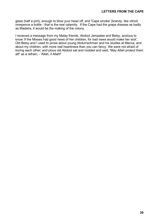glass (half a pint), enough to blow your head off, and 'Cape smoke' (brandy, like vitriol) ninepence a bottle - that is the real calamity. If the Cape had the grape disease as badly as Madeira, it would be the making of the colony.

I received a message from my Malay friends, Abdool Jemaalee and Betsy, anxious to know 'if the Misses had good news of her children, for bad news would make her sick'. Old Betsy and I used to prose about young Abdurrachman and his studies at Mecca, and about my children, with more real heartiness than you can fancy. We were not afraid of boring each other; and pious old Abdool sat and nodded and said, 'May Allah protect them all!' as a refrain; - 'Allah, il Allah!'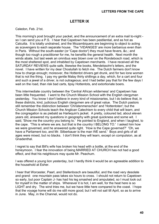## **LETTER IX**

<span id="page-41-0"></span>Caledon, Feb. 21st.

This morning's post brought your packet, and the announcement of an extra mail to-night so I can send you a P.S. I hear that Capetown has been pestilential, and as hot as Calcutta. It is totally undrained, and the Mozambiquers are beginning to object to acting as scavengers to each separate house. The 'VIDANGES' are more barbarous even than in Paris. Without the south-easter (or 'Cape doctor') they must have fevers, &c.; and though too rough a practitioner for me, he benefits the general health. Next month the winds abate, but last week an omnibus was blown over on the Rondebosch road, which is the most sheltered spot, and inhabited by Capetown merchants. I have received all the SATURDAY REVIEWS quite safe, likewise the books, Mendelssohn's letters, and the novel. I have written for my dear Choslullah to fetch me. The Dutch farmers don't know how to charge enough; moreover, the Hottentot drivers get drunk, and for two lone women that is not the thing. I pay my gentle Malay thirty shillings a day, which, for a cart and four and such a jewel of a driver, is not outrageous; and I had better pay that for the few days I wait on the road, than risk bad carts, tipsy Hottentots, and extortionate boers.

This intermediate country between the 'Central African wilderness' and Capetown has been little frequented. I went to the Church Mission School with the English clergyman yesterday. You know I don't believe in every kind of missionaries, but I do believe that, in these districts, kind, judicious English clergymen are of great value. The Dutch pastors still remember the distinction between 'Christenmenschen' and 'Hottentoten'; but the Church Mission Schools teach the Anglican Catechism to every child that will learn, and the congregation is as piebald as Harlequin's jacket. A pretty, coloured lad, about eleven years old, answered my questions in geography with great quickness and some wit. I said, 'Show me the country you belong to.' He pointed to England, and when I laughed, to the cape. 'This is where we are, but that is the country I BELONG TO.' I asked him how we were governed, and he answered quite right. 'How is the Cape governed?' 'Oh, we have a Parliament too, and Mr. Silberbauer is the man WE send.' Boys and girls of all ages were mixed, but no blacks. I don't think they will learn, except on compulsion, as at Gnadenthal.

I regret to say that Bill's wife has broken his head with a bottle, at the end of the honeymoon. I fear the innovation of being MARRIED AT CHURCH has not had a good effect, and that his neighbours may quote Mr. Peachum.

I was offered a young lion yesterday, but I hardly think it would be an agreeable addition to the household at Esher.

I hear that Worcester, Paarl, and Stellenbosch are beautiful, and the road very desolate and grand: one mountain pass takes six hours to cross. I should not return to Capetown so early, but poor Captain J- has had his leg smashed and amputated, so I must look out for myself in the matter of ships. Whenever it is hot, I am well, for the heat here is so LIGHT and dry. The wind tries me, but we have little here compared to the coast. I hope that the voyage home will do me still more good; but I will not sail till April, so as to arrive in June. May, in the Channel, would not do.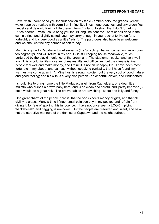How I wish I could send you the fruit now on my table - amber- coloured grapes, yellow waxen apples streaked with vermillion in fine little lines, huge peaches, and tiny green figs! I must send dear old Klein a little present from England, to show that I don't forget my Dutch adorer. I wish I could bring you the 'Biltong ' he sent me - beef or bok dried in the sun in strips, and slightly salted; you may carry enough in your pocket to live on for a fortnight, and it is very good as a little 'relish'. The partridges also have been welcome, and we shall eat the tiny haunch of bok to-day.

Mrs. D- is gone to Capetown to get servants (the Scotch girl having carried on her amours too flagrantly), and will return in my cart. S- is still keeping house meanwhile, much perturbed by the placid indolence of the brown girl. The stableman cooks, and very well too. This is colonial life - a series of makeshifts and difficulties; but the climate is fine, people feel well and make money, and I think it is not an unhappy life. I have been most fortunate in my abode, and can say, without speaking cynically, that I have found 'my warmest welcome at an inn'. Mine host is a rough soldier, but the very soul of good nature and good feeling; and his wife is a very nice person - so cheerful, clever, and kindhearted.

I should like to bring home the little Madagascar girl from Rathfelders, or a dear little mulatto who nurses a brown baby here, and is so clean and careful and 'pretty behaved', but it would be a great risk. The brown babies are ravishing - so fat and jolly and funny.

One great charm of the people here is, that no one expects money or gifts, and that all civility is gratis. Many a time I finger small coin secretly in my pocket, and refrain from giving it, for fear of spoiling this innocence. I have not once seen a LOOK implying 'backsheesh', and begging is unknown. But the people are reserved and silent, and have not the attractive manners of the darkies of Capetown and the neighbourhood.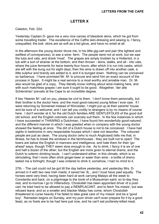## **LETTER X**

<span id="page-43-0"></span>Caledon, Feb. 22d.

Yesterday Captain D- gave me a very nice caross of blessbok skins, which he got from some travelling trader. The excellence of the Caffre skin-dressing and sewing is, I fancy, unequalled; the bok- skins are as soft as a kid glove, and have no smell at all.

In the afternoon the young doctor drove me, in his little gig-cart and pair (the lightest and swiftest of conveyances), to see a wine- farm. The people were not at work, but we saw the tubs and vats, and drank 'most'. The grapes are simply trodden by a Hottentot, in a tub with a sort of strainer at the bottom, and then thrown - skins, stalks, and all - into vats, where the juice ferments for twice twenty-four hours; after which it is run into casks, which are left with the bung out for eight days; then the wine is drawn off into another cask, a little sulphur and brandy are added to it, and it is bunged down. Nothing can be conceived so barbarous. I have promised Mr. M- to procure and send him an exact account of the process in Spain. It might be a real service to a most worthy and amiable man. Dr. Malso would be glad of a copy. They literally know nothing about wine-making here, and with such matchless grapes I am sure it ought to be good. Altogether, 'der alte Schlendrian' prevails at the Cape to an incredible degree.

If two 'Heeren M-' call on you, please be civil to them. I don't know them personally, but their brother is the doctor here, and the most good-natured young fellow I ever saw. If I were returning by Somerset instead of Worcester, I might put up at their parents' house and be sure of a welcome; and I can tell you civility to strangers is by no means of course here. I don't wonder at it; for the old Dutch families ARE GENTLEFOLKS of the good dull old school, and the English colonists can scarcely suit them. In the few instances in which I have succeeded in THAWING a Dutchman, I have found him wonderfully good-natured; and the different manner in which I was greeted when in company with the young doctor showed the feeling at once. The dirt of a Dutch house is not to be conceived. I have had sights in bedrooms in very respectable houses which I dare not describe. The coloured people are just as clean. The young doctor (who is much Anglicised) tells me that, in illness, he has to break the windows in the farmhouses - they are built not to open! The boers are below the English in manners and intelligence, and hate them for their 'goahead' ways, though THEY seem slow enough to me. As to drink, I fancy it is six of one and half a dozen of the other; but the English are more given to eternal drams, and the Dutch to solemn drinking bouts. I can't understand either, in this climate, which is so stimulating, that I more often drink ginger-beer or water than wine - a bottle of sherry lasted me a fortnight, though I was ordered to drink it; somehow, I had no mind to it.

27th. - The cart could not be got till the day before yesterday, and yesterday Mrs. Darrived in it with two new Irish maids; it saved her 3L., and I must have paid equally. The horses were very tired, having been hard at work carrying Malays all the week to Constantia and back, on a pilgrimage to the tomb of a Mussulman saint; so to-day they rest, and to-morrow I go to Villiersdorp. Choslullah has been appointed driver of a postcart; he tried hard to be allowed to pay a REMPLACANT, and to fetch 'his missis', but was refused leave; and so a smaller and blacker Malay has come, whom Choslullah threatened to curse heavily if he failed to take great care of 'my missis' and be a 'good boy'. Ramadan begins on Sunday, and my poor driver can't even prepare for it by a good feast, as no fowls are to be had here just now, and he can't eat profanely-killed meat.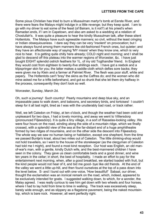Some pious Christian has tried to burn a Mussulman martyr's tomb at Eerste River, and there were fears the Malays might indulge in a little revenge; but they keep quiet. I am to go with my driver to eat some of the feast (of Bairam, is it not?) at his priest's when Ramadan ends, if I am in Capetown, and also am asked to a wedding at a relation of Choslullah's. It was quite a pleasure to hear the kindly Mussulman talk, after these silent Hottentots. The Malays have such agreeable manners; so civil, without the least cringing or Indian obsequiousness. I dare say they can be very 'insolent' on provocation; but I have always found among them manners like old-fashioned French ones, but quieter; and they have an affectionate way of saying 'MY missis' when they know one, which is very nice to hear. It is getting quite chilly here already; COLD night and morning; and I shall be glad to descend off this plateau into the warmer regions of Worcester, &c. I have just bought EIGHT splendid ostrich feathers for 1L. of my old Togthandler friend. In England they would cost from eighteen to twenty-five shillings each. I have got a reebok and a klipspringer skin for you; the latter makes a saddle-cloth which defies sore backs; they were given me by Klein and a farmer at Palmiet River. The flesh was poor stuff, white and papery. The Hottentots can't 'bray' the skins as the Caffres do; and the woman who did mine asked me for a trifle beforehand, and got so drunk that she let them dry halfway in the process, consequently they don't look so well.

#### Worcester, Sunday, March 2d.

Oh, such a journey! Such country! Pearly mountains and deep blue sky, and an impassable pass to walk down, and baboons, and secretary birds, and tortoises! I couldn't sleep for it all last night, tired as I was with the unutterably bad road, or track rather.

Well, we left Caledon on Friday, at ten o'clock, and though the weather had been cold and unpleasant for two days, I had a lovely morning, and away we went to Villiersdorp (pronounced Filjeesdorp). It is quite a tiny village, in a sort of Rasselas-looking valley. We were four hours on the road, winding along the side of a mountain ridge, which we finally crossed, with a splendid view of the sea at the far-distant end of a huge amphitheatre formed by two ridges of mountains, and on the other side the descent into Filjeesdorp. The whole way we saw no human being or habitation, except one shepherd, from the time we passed Buntje's kraal, about two miles out of Caledon. The little drinking-shop would not hold travellers, so I went to the house of the storekeeper (as the clergyman of Caledon had told me I might), and found a most kind reception. Our host was English, an old manof-war's man, with a gentle, kindly Dutch wife, and the best-mannered children I have seen in the colony. They gave us clean comfortable beds and a good dinner, and wine ten years in the cellar; in short, the best of hospitality. I made an effort to pay for the entertainment next morning, when, after a good breakfast, we started loaded with fruit, but the kind people would not hear of it, and bid me good- bye like old friends. At the end of the valley we went a little up-hill, and then found ourselves at the top of a pass down into the level below. S- and I burst out with one voice, 'How beautiful!' Sabaal, our driver, thought the exclamation was an ironical remark on the road, which, indeed, appeared to be exclusively intended for goats. I suggested walking down, to which, for a wonder, the Malay agreed. I was really curious to see him get down with two wheels and four horses, where I had to lay hold from time to time in walking. The track was excessively steep, barely wide enough, and as slippery as a flagstone pavement, being the naked mountaintop, which is bare rock. However, all went perfectly right.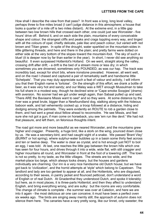How shall I describe the view from that pass? In front was a long, long level valley, perhaps three to five miles broad (I can't judge distance in this atmosphere; a house that looks a quarter of a mile off is two miles distant). At the extreme end, in a little gap between two low brown hills that crossed each other, one could just see Worcester - five hours' drive off. Behind it, and on each side the plain, mountains of every conceivable shape and colour; the strangest cliffs and peaks and crags toppling every way, and tinged with all the colours of opal; chiefly delicate, pale lilac and peach colour, but varied with red brown and Titian green. In spite of the drought, water sparkled on the mountain-sides in little glittering threads, and here and there in the plain; and pretty farms were dotted on either side at the very bottom of the slopes toward the mountain-foot. The sky of such a blue! (it is deeper now by far than earlier in the year). In short, I never did see anything so beautiful. It even surpassed Hottentot's Holland. On we went, straight along the valley, crossing drift after drift; - a drift is the bed of a stream more or less dry; in which sometimes you are drowned, sometimes only POUNDED, as was our hap. The track was incredibly bad, except for short bits, where ironstone prevailed. However, all went well, and on the road I chased and captured a pair of remarkably swift and handsome little 'Schelpats'. That you may duly appreciate such a feat of valour and activity, I will inform you that their English name is 'tortoise'. On the strength of this effort, we drank a bottle of beer, as it was very hot and sandy; and our Malay was a WET enough Mussulman to take his full share in a modest way, though he declined wine or 'Cape smoke Soopjes' (drams) with aversion. No sooner had we got under weigh again, than Sabaal pulled up and said, 'There ARE the Baviaans Missis want to see!' and so they were. At some distance by the river was a great brute, bigger than a Newfoundland dog, stalking along with the hideous baboon walk, and tail vehemently cocked up; a troop followed at a distance, hiding and dodging among the palmiets. They were evidently en ROUTE to rob a garden close to them, and had sent a great stout fellow ahead to reconnoitre. 'He see Missis, and feel sure she not got a gun; if man come on horseback, you see 'em run like devil.' We had not that pleasure, and left them, on felonious thoughts intent.

The road got more and more beautiful as we neared Worcester, and the mountains grew higher and craggier. Presently, a huge bird, like a stork on the wing, pounced down close by us. He was a secretary-bird, and had caught sight of a snake. We passed 'Brant Vley' (BURNT or hot spring), where sulphur-water bubbles up in a basin some thirty feet across and ten or twelve deep. The water is clear as crystal, and is hot enough just NOT to boil an egg, I was told. At last, one reaches the little gap between the brown hills which one has seen for four hours, and drives through it into a wide, wide flat, with still craggier and higher mountains all round, and Worcester in front at the foot of a towering cliff. The town is not so pretty, to my taste, as the little villages. The streets are too wide, and the market-place too large, which always looks dreary, but the houses and gardens individually are charming. Our inn is a very nice handsome old Dutch house; but we have got back to 'civilization', and the horrid attempts at 'style' which belong to Capetown. The landlord and lady are too genteel to appear at all, and the Hottentots, who are disguised, according to their sexes, in pantry jacket and flounced petticoat, don't understand a word of English or of real Dutch. At Gnadenthal they understood Dutch, and spoke it tolerably; but here, as in most places, it is three-parts Hottentot; and then they affect to understand English, and bring everything wrong, and are sulky: but the rooms are very comfortable. The change of climate is complete - the summer was over at Caledon, and here we are into it again - the most delicious air one can conceive; it must have been a perfect oven six weeks ago. The birds are singing away merrily still; the approach of autumn does not silence them here. The canaries have a very pretty song, like our linnet, only sweeter; the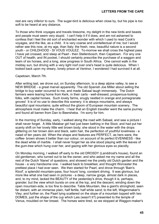rest are very inferior to ours. The sugar-bird is delicious when close by, but his pipe is too soft to be heard at any distance.

To those who think voyages and travels tiresome, my delight in the new birds and beasts and people must seem very stupid. I can't help it if it does, and am not ashamed to confess that I feel the old sort of enchanted wonder with which I used to read Cook's voyages, and the like, as a child. It is very coarse and unintellectual of me; but I would rather see this now, at my age, than Italy; the fresh, new, beautiful nature is a second youth - or CHILDHOOD - SI VOUS VOULEZ. To-morrow we shall cross the highest pass I have yet crossed, and sleep at Paarl - then Stellenbosch, then Capetown. For any one OUT of health, and IN pocket, I should certainly prescribe the purchase of a waggon and team of six horses, and a long, slow progress in South Africa. One cannot walk in the midday sun, but driving with a very light roof over one's head is quite delicious. When I looked back upon my dreary, lonely prison at Ventnor, I wondered I had survived it at all.

#### Capetown, March 7th.

After writing last, we drove out, on Sunday afternoon, to a deep alpine valley, to see a NEW BRIDGE - a great marvel apparently. The old Spanish Joe Miller about selling the bridge to buy water occurred to me, and made Sabaal laugh immensely. The Dutch farmers were tearing home from Kerk, in their carts - well-dressed, prosperous-looking folks, with capital horses. Such lovely farms, snugly nestled in orange and pomegranate groves! It is of no use to describe this scenery; it is always mountains, and always beautiful opal mountains; quite without the gloom of European mountain scenery. The atmosphere must make the charm. I hear that an English traveller went the same journey and found all barren from Dan to Beersheba. I'm sorry for him.

In the morning of Sunday, early, I walked along the road with Sabaal, and saw a picture I shall never forget. A little Malabar girl had just been bathing in the Sloot, and had put her scanty shift on her lovely little wet brown body; she stood in the water with the drops glittering on her brown skin and black, satin hair, the perfection of youthful loveliness - a naiad of ten years old. When the shape and features are PERFECT, as hers were, the coffee- brown shows it better than our colour, on account of its perfect EVENNESS - like the dead white of marble. I shall never forget her as she stood playing with the leaves of the gum-tree which hung over her, and gazing with her glorious eyes so placidly.

On Monday morning, I walked off early to the old DROSDY (Landdrost's house), found an old gentleman, who turned out to be the owner, and who asked me my name and all the rest of the Dutch 'litanei' of questions, and showed me the pretty old Dutch garden and the house - a very handsome one. I walked back to breakfast, and thought Worcester the prettiest place I had ever seen. We then started for Paarl, and drove through 'Bain's Kloof', a splendid mountain-pass, four hours' long, constant driving. It was glorious, but more like what one had seen in pictures - a deep, narrow gorge, almost dark in places, and, to my mind, lacked the BEAUTY of the yesterday's drive, though it is, perhaps, grander; but the view which bursts on one at the top, and the descent, winding down the open mountain-side, is too fine to describe. Table Mountain, like a giant's stronghold, seen far distant, with an immense plain, half fertile, half white sand; to the left, Wagenmaker's Vley; and further on, the Paarl lying scattered on the slope of a mountain topped with two DOMES, just the shape of the cup which Lais (wasn't it?) presented to the temple of Venus, moulded on her breast. The horses were tired, so we stopped at Waggon-maker's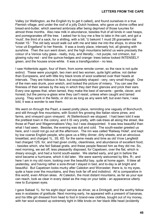Valley (or Wellington, as the English try to get it called), and found ourselves in a true Flemish village, and under the roof of a jolly Dutch hostess, who gave us divine coffee and bread-and-butter, which seemed ambrosia after being deprived of those luxuries for almost three months. Also new milk in abundance, besides fruit of all kinds in vast heaps, and pomegranates off the tree. I asked her to buy me a few to take in the cart, and got a 'muid', the third of a sack, for a shilling, with a bill, 'U bekomt 1 muid 28 granaeten dat Kostet 1S.' The old lady would walk out with me and take me into the shops, to show the 'vrow uit Engelland' to her friends. It was a lovely place, intensely hot, all glowing with sunshine. Then the sun went down, and the high mountains behind us were precisely the colour of a Venice ruby glass - really, truly, and literally; - not purple, not crimson, but glowing ruby-red - and the quince-hedges and orange- trees below looked INTENSELY green, and the houses snow-white. It was a transfiguration - no less.

I saw Hottentots again, four of them, from some remote corner, so the race is not quite extinct. These were youngish, two men and two women, quite light yellow, not darker than Europeans, and with little tiny black knots of wool scattered over their heads at intervals. They are hideous in face, but exquisitely shaped - very, very small though. One of the men was drunk, poor wretch, and looked the picture of misery. You can see the fineness of their senses by the way in which they dart their glances and prick their ears. Every one agrees that, when tamed, they make the best of servants - gentle, clever, and honest; but the penny-a-glass wine they can't resist, unless when caught and tamed young. They work in the fields, or did so as long as any were left; but even here, I was told, it was a wonder to see them.

We went on through the Paarl, a sweet pretty place, reminding one vaguely of Bonchurch, and still through fine mountains, with Scotch firs growing like Italian stone pines, and farms, and vineyard upon vineyard. At Stellenbosch we stopped. I had been told it was the prettiest town in the colony, and it IS very pretty, with oak-trees all along the street, like those at Paarl and Wagenmakkers Vley; but I was disappointed. It was less beautiful than what I had seen. Besides, the evening was dull and cold. The south-easter greeted us here, and I could not go out all the afternoon. The inn was called 'Railway Hotel', and kept by low coarse English people, who gave us a filthy dinner, dirty sheets, and an atrocious breakfast, and charged 1L. 3S. 6D. for the same meals and time as old Vrow Langfeldt had charged 12S, for, and had given civility, cleanliness, and abundance of excellent food; - besides which, she fed Sabaal gratis, and these people fleeced him as they did me. So, next morning, we set off, less pleasantly disposed, for Capetown, over the flat, which is dreary enough, and had a horrid south-easter. We started early, and got in before the wind became a hurricane, which it did later. We were warmly welcomed by Mrs. R-; and here I am in my old room, looking over the beautiful bay, quite at home again. It blew all yesterday, and having rather a sore-throat I stayed in bed, and to-day is all bright and beautiful. But Capetown looks murky after Caledon and Worcester; there is, to my eyes, quite a haze over the mountains, and they look far off and indistinct. All is comparative in this world, even African skies. At Caledon, the most distant mountains, as far as your eye can reach, look as clear in every detail as the map on your table - an appearance utterly new to European eyes.

I gave Sabaal 1L. for his eight days' service as driver, as a Drinkgelt, and the worthy fellow was in ecstasies of gratitude. Next morning early, he appeared with a present of bananas, and his little girl dressed from head to foot in brand-new clothes, bought out of my money, with her wool screwed up extremely tight in little knots on her black little head (evidently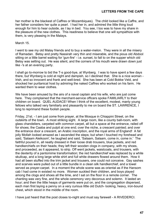her mother is the blackest of Caffres or Mozambiques). The child looked like a Caffre, and her father considers her quite a pearl. I had her in, and admired the little thing loud enough for him to hear outside, as I lay in bed. You see, I too was to have my share in the pleasure of the new clothes. This readiness to believe that one will sympathize with them, is very pleasing in the Malays.

March 15.

I went to see my old Malay friends and to buy a water-melon. They were in all the misery of Ramadan. Betsy and pretty Nassirah very thin and miserable, and the pious old Abdool sitting on a little barrel waiting for 'gun-fire' - i.e. sunset, to fall to on the supper which old Betsy was setting out. He was silent, and the corners of his mouth were drawn down just like -'s at an evening party.

I shall go to-morrow to bid the T-s good-bye, at Wynberg. I was to have spent a few days there, but Wynberg is cold at night and dampish, so I declined that. She is a nice woman - Irish, and so innocent and frank and well-bred. She has been at Cold Bokke Veld, and shocked her puritanical host by admiring the naked Caffres who worked on his farm. He wanted them to wear clothes.

We have been amused by the airs of a naval captain and his wife, who are just come here. They complained that the merchant-service officers spoke FAMILIARLY to their children on board. QUEL AUDACE! When I think of the excellent, modest, manly young fellows who talked very familiarly and pleasantly to me on board the ST. LAWRENCE, I long to reprimand these foolish people.

Friday, 21st. - I am just come from prayer, at the Mosque in Chiappini Street, on the outskirts of the town. A most striking sight. A large room, like a county ball-room, with glass chandeliers, carpeted with common carpet, all but a space at the entrance, railed off for shoes; the Caaba and pulpit at one end; over the niche, a crescent painted; and over the entrance door a crescent, an Arabic inscription, and the royal arms of England! A fat jolly Mollah looked amazed as I ascended the steps; but when I touched my forehead and said, 'Salaam Aleikoom', he laughed and said, 'Salaam, Salaam, come in, come in.' The faithful poured in, all neatly dressed in their loose drab trousers, blue jackets, and red handkerchiefs on their heads; they left their wooden clogs in company, with my shoes, and proceeded, as it appeared, to strip. Off went jackets, waistcoats, and trousers, with the dexterity of a pantomime transformation; the red handkerchief was replaced by a white skullcap, and a long large white shirt and full white drawers flowed around them. How it had all been stuffed into the trim jacket and trousers, one could not conceive. Gay sashes and scarves were pulled out of a little bundle in a clean silk handkerchief, and a towel served as prayer-carpet. In a moment the whole scene was as oriental as if the Hansom cab I had come in existed no more. Women suckled their children, and boys played among the clogs and shoes all the time, and I sat on the floor in a remote corner. The chanting was very fine, and the whole ceremony very decorous and solemn. It lasted an hour; and then the little heaps of garments were put on, and the congregation dispersed, each man first laying a penny on a very curious little old Dutch- looking, heavy, iron-bound chest, which stood in the middle of the room.

I have just heard that the post closes to-night and must say farewell - A RIVEDERCI.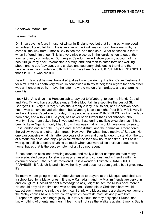### **LETTER XI**

<span id="page-49-0"></span>Capetown, March 20th.

Dearest mother,

Dr. Shea says he fears I must not winter in England yet, but that I am greatly improved as, indeed, I could tell him. He is another of the kind 'sea doctors' I have met with; he came all the way from Simon's Bay to see me, and then said, 'What nonsense is that?' when I offered him a fee. This is a very nice place up in the 'gardens', quite out of the town and very comfortable. But I regret Caledon. A- will show you my account of my beautiful journey back. Worcester is a fairy-land; and then to catch tortoises walking about, and to see 'baviaans', and snakes and secretary birds eating them! and then people have the impudence to think I must have been 'very dull!' SIE MERKEN'S NICHT, that it is THEY who are dull.

Dear Dr. Hawtrey! he must have died just as I was packing up the first Caffre Testament for him! I felt his death very much, in connexion with my father; their regard for each other was an honour to both. I have the letter he wrote me on J-'s marriage, and a charming one it is.

I took Mrs. A- a drive in a Hansom cab to-day out to Wynberg, to see my friends Captain and Mrs. T-, who have a cottage under Table Mountain in a spot like the best of St. George's Hill. Very dull too; but as she is really a lady, it suits her, and Capetown does not. I was to have stayed with them, but Wynberg is cold at night. Poor B-'s wife is very ill and won't leave Capetown for a day. The people here are WUNDERLICH for that. A lady born here, and with 7,000L. a year, has never been further than Stellenbosch, about twenty miles. I am asked how I lived and what I ate during my little excursion, as if I had been to Lake Ngami. If only I had known how easy it all is, I would have gone by sea to East London and seen the Knysna and George district, and the primaeval African forest, the yellow wood, and other giant trees. However, 'For what I have received,' &c., &c. No one can conceive what it is, after two years of prison and utter languor, to stand on the top of a mountain pass, and enjoy physical existence for a few hours at a time. I felt as if it was quite selfish to enjoy anything so much when you were all so anxious about me at home; but as that is the best symptom of all, I do not repent.

S- has been an excellent travelling servant, and really a better companion than many more educated people; for she is always amused and curious, and is friendly with the coloured people. She is quite recovered. It is a wonderful climate - SANS QUE CELE PARAISSE. It feels chilly and it blows horridly, and does not seem genial, but it gives new life.

To-morrow I am going with old Abdool Jemaalee to prayers at the Mosque, and shall see a school kept by a Malay priest. It is now Ramadan,. and my Muslim friends are very thin and look glum. Choslullah sent a message to ask, 'Might he see the Missis once more? He should pray all the time she was on the sea.' Some pious Christians here would expect such horrors to sink the ship. I can't think why Mussulmans are always gentlemen; the Malay coolies have a grave courtesy which contrasts most strikingly with both European vulgarity and negro jollity. It is very curious, for they only speak Dutch, and know nothing of oriental manners. I fear I shall not see the Walkers again. Simon's Bay is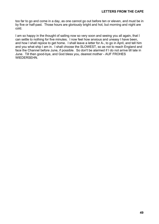too far to go and come in a day, as one cannot go out before ten or eleven, and must be in by five or half-past. Those hours are gloriously bright and hot, but morning and night are cold.

I am so happy in the thought of sailing now so very soon and seeing you all again, that I can settle to nothing for five minutes. I now feel how anxious and uneasy I have been, and how I shall rejoice to get home. I shall leave a letter for A-, to go in April, and tell him and you what ship I am in. I shall choose the SLOWEST, so as not to reach England and face the Channel before June, if possible. So don't be alarmed if I do not arrive till late in June. Till then good-bye, and God bless you, dearest mother - AUF FROHES WIEDERSEHN.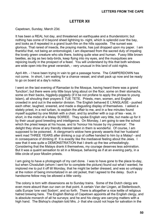### **LETTER XII**

<span id="page-51-0"></span>Capetown, Sunday, March 23d.

It has been a REAL hot day, and threatened an earthquake and a thunderstorm; but nothing has come of it beyond sheet lightning to- night, which is splendid over the bay, and looks as if repeated in a grand bush-fire on the hills opposite. The sunset was glorious. That rarest of insects, the praying mantis, has just dropped upon my paper. I am thankful that, not being an entomologist, I am dispensed from the sacred duty of impaling the lovely green creature who sits there, looking quite wise and human. Fussy little brown beetles, as big as two lady-birds, keep flying into my eyes, and the musquitoes are rejoicing loudly in the prospect of a feast. You will understand by this that both windows are wide open into the great verandah, - very unusual in this land of cold nights.

April 4th. - I have been trying in vain to get a passage home. The CAMPERDOWN has not come. In short, I am waiting for a chance vessel, and shall pack up now and be ready to go on board at a day's notice.

I went on the last evening of Ramadan to the Mosque, having heard there was a grand 'function'; but there were only little boys lying about on the floor, some on their stomachs, some on their backs, higgledy-piggledy (if it be not profane to apply the phrase to young Islam), all shouting their prayers E TUE TETE. Priests, men, women, and English crowded in and out in the exterior division. The English behaved E L'ANGLAISE - pushed each other, laughed, sneered, and made a disgusting display of themselves. I asked a stately priest, in a red turban, to explain the affair to me, and in a few minutes found myself supplied by one Mollah with a chair, and by another with a cup of tea - was, in short, in the midst of a Malay SOIREE. They spoke English very little, but made up for it by their usual good breeding and intelligence. On Monday, I am going to see the school which the priest keeps at his house, and to 'honour his house by my presence'. The delight they show at any friendly interest taken in them is wonderful. Of course, I am supposed to be poisoned. A clergyman's widow here gravely asserts that her husband went mad THREE YEARS after drinking a cup of coffee handed to him by a Malay! - and in consequence of drinking it! It is exactly like the mediaeval feeling about the Jews. I saw that it was quite a DEMONSTRATION that I drank up the tea unhesitatingly. Considering that the Malays drank it themselves, my courage deserves less admiration. But it was a quaint sensation to sit in a Mosque, behaving as if at an evening party, in a little circle of poor Moslim priests.

I am going to have a photograph of my cart done. I was to have gone to the place to-day, but when Choslullah (whom I sent for to complete the picture) found out what I wanted, he implored me to put it off till Monday, that he might be better dressed, and was so unhappy at the notion of being immortalized in an old jacket, that I agreed to the delay. Such a handsome fellow may be allowed a little vanity.

The colony is torn with dissensions as to Sunday trains. Some of the Dutch clergy are even more absurd than our own on that point. A certain Van der Lingen, at Stellenbosch, calls Europe 'one vast Sodom', and so forth. There is altogether a nice kettle of religious hatred brewing here. The English Bishop of Capetown appoints all the English clergy, and is absolute monarch of all he surveys; and he and his clergy are carrying matters with a high hand. The Bishop's chaplain told Mrs. J- that she could not hope for salvation in the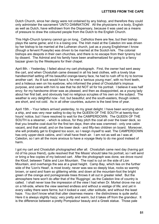Dutch Church, since her clergy were not ordained by any bishop, and therefore they could only administer the sacrament 'UNTO DAMNATION'. All the physicians in a body, English as well as Dutch, have withdrawn from the Dispensary, because it was used as a means of pressure to draw the coloured people from the Dutch to the English Church.

This High-Church tyranny cannot go on long. Catholics there are few, but their bishop plays the same game; and it is a losing one. The Irish maid at the Caledon inn was driven by her bishop to be married at the Lutheran church, just as a young Englishman I know (though a fervent Puseyite) was driven to be married at the Scotch kirk. The colonial bishops are despots in their own churches, and there is no escape from their tyranny but by dissent. The Admiral and his family have been anathematized for going to a fancy bazaar given by the Wesleyans for their chapel.

April 8th. - Yesterday, I failed about my cart photograph. First, the owner had sent away the cart, and when Choslullah came dressed in all his best clothes, with a lovely blue handkerchief setting off his beautiful orange-tawny face, he had to rush off to try to borrow another cart. As ill luck would have it, he met a 'serious young man', with no front teeth, and a hideous wen on his eyebrow, who informed the priest of Choslullah's impious purpose, and came with him to see that he did NOT sit for his portrait. I believe it was half envy; for my handsome driver was as pleased, and then as disappointed, as a young lady about her first ball, and obviously had no religious scruples of his own on the subject. The weather is very delightful now - hot, but beautiful; and the south-easters, though violent, are short, and not cold. As in all other countries, autumn is the best time of year.

April 15th. - Your letters arrived yesterday, to my great delight. I have been worrying about a ship, and was very near sailing to-day by the QUEEN OF THE SOUTH at twenty-four hours' notice, but I have resolved to wait for the CAMPERDOWN. The QUEEN OF THE SOUTH is a steamer, - which is odious, for they pitch the coal all over the lower deck, so that you breathe coal-dust for the first ten days; then she was crammed - only one cabin vacant, and that small, and on the lower deck - and fifty-two children on board. Moreover, she will probably get to England too soon, so I resign myself to wait. The CAMPERDOWN has only upper-deck cabins, and I shall have fresh air. I am not as well as I was at Caledon, so I am all the more anxious to have a voyage likely to do me good instead of harm.

I got my cart and Choslullah photographed after all. Choslullah came next day (having got rid of his pious friend), quite resolved that 'the Missis' should take his portrait, so I will send or bring a few copies of my beloved cart. After the photograph was done, we drove round the Kloof, between Table and Lion Mountain. The road is cut on the side of Lion Mountain, and overhangs the sea at a great height. Camp Bay, which lies on the further side of the 'Lion's Head', is most lovely; never was sea so deeply blue, rocks so warmly brown, or sand and foam so glittering white; and down at the mountain-foot the bright green of the orange and pomegranate trees throws it all out in greater relief. But the atmosphere here won't do after that of the 'Ruggings', as the Caledon line of country is called. I shall never lose the impression of the view I had when Dr. Morkel drove me out on a hill-side, where the view seemed endless and without a vestige of life; and yet in every valley there were farms; but it looked a vast, utter solitude, and without the least haze. You don't know what that utter clearness means - the distinctness is quite awful. Here it is always slightly hazy; very pretty and warm, but it takes off from the grandeur. It is the difference between a pretty Pompadour beauty and a Greek statue. Those pale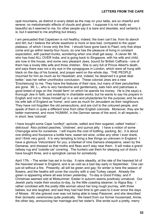opal mountains, as distinct in every detail as the map on your table, are so cheerful and serene; no melodramatic effects of clouds and gloom. I suppose it is not really so beautiful as it seemed to me, for other people say it is bare and desolate, and certainly it is; but it seemed to me anything but dreary.

I am persuaded that Capetown is not healthy; indeed, the town can't be, from its stench and dirt; but I believe the whole seashore is more or less bad, compared to the upper plateaux, of which I know only the first. I should have gone back to Paarl, only that ships come and go within twenty-four hours, so one has the pleasure of living in constant expectation, with packed trunks, wondering when one shall get away. A clever Mr. M-, who has lived ALL OVER India, and is going back to Singapore, with his wife and child, are now in the house; and some very pleasant Jews, bound for British Caffraria - one of them has a lovely little wife and three children. She is very full of Prince Albert's death, and says there was not a dry eye in the synagogues in London, which were all hung with black on the day of his funeral, and prayer went on the whole day. 'THE PEOPLE mourned for him as much as for Hezekiah; and, indeed, he deserved it a great deal better,' was her rather unorthodox conclusion. These colonial Jews are a new 'Erscheinung' to me. They have the features of their race, but many of their peculiarities are gone. Mr. L-, who is very handsome and gentlemanly, eats ham and patronises a good breed of pigs on the 'model farm' on which he spends his money. He is (he says) a thorough Jew in faith, and evidently in charitable works; but he wants to say his prayers in English and not to 'dress himself up' in a veil and phylacteries for the purpose; and he and his wife talk of England as 'home', and care as much for Jerusalem as their neighbours. They have not forgotten the old persecutions, and are civil to the coloured people, and speak of them in quite a different tone from other English colonists. Moreover, they are far better mannered, and more 'HUMAN', in the German sense of the word, in all respects; in short, less 'colonial'.

I have bought some Cape 'confeyt'; apricots, salted and then sugared, called 'mebos' delicious! Also pickled peaches, 'chistnee', and quince jelly. I have a notion of some Cherupiga wine for ourselves. I will inquire the cost of bottling, packing, &c.; it is about one shilling and fourpence a bottle here, sweet red wine, unlike any other I ever drank, and I think very good. It is very tempting to bring a few things so unknown in England. I have a glorious 'Velcombers' for you, a blanket of nine Damara sheepskins, sewn by the Damaras, and dressed so that moths and fleas won't stay near them. It will make a grand railway rug and 'outside car' covering. The hunters use them for sleeping out of doors. I have bought three, and a springbok caross for somebody.

April 17th. - The winter has set in to-day. It rains steadily, at the rate of the heaviest bit of the heaviest shower in England, and is as cold as a bad day early in September. One can just sit without a fire. Presently, all will be green and gay; for winter is here the season of flowers, and the heaths will cover the country with a vast Turkey carpet. Already the green is appearing where all was brown yesterday. To-day is Good Friday; and if Christmas seemed odd at Midsummer, Easter in autumn seems positively unnatural. Our Jewish party made their exodus to-day, by the little coasting steamer, to Algoa Bay. I rather condoled with the pretty little woman about her long rough journey, with three babies; but she laughed, and said they had had time to get used to it ever since the days of Moses. All she grieved over was not being able to keep Passover, and she described their domestic ceremonies quite poetically. We heard from our former housemaid, Annie, the other day, announcing her marriage and her sister's. She wrote such a pretty, merry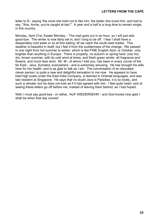letter to S-, saying 'the more she tried not to like him, the better she loved him, and had to say, "Aha, Annie, you're caught at last."' A year and a half is a long time to remain single in this country.

Monday, April 21st, Easter Monday. - The mail goes out in an hour, so I will just add, good-bye. The winter is now fairly set in, and I long to be off. I fear I shall have a desperately cold week or so at first sailing, till we catch the south-east trades. This weather is beautiful in itself, but I feel it from the suddenness of the change. We passed in one night from hot summer to winter, which is like FINE English April, or October, only brighter than anything in Europe. There is properly, no autumn or spring here; only hot, dry, brown summer, with its cold wind at times, and fresh green winter, all fragrance and flowers, and much less wind. Mr. M-, of whom I told you, has been in every corner of the far East - Java, Sumatra, everywhere - and is extremely amusing. He has brought his wife here for her health, and is as glad to talk as I am. The conversation of an educated, clever person, is quite a new and delightful sensation to me now. He appears to have held high posts under the East India Company, is learned in Oriental languages, and was last resident at Singapore. He says that no doubt Java is Paradise, it is so lovely, and such a climate; but he does not look as if it had agreed with him. I feel quite heart- sick at seeing these letters go off before me, instead of leaving them behind, as I had hoped.

Well, I must say good-bye - or rather, 'AUF WIEDERSEHN' - and God knows how glad I shall be when that day comes!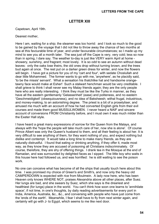#### **LETTER XIII**

<span id="page-55-0"></span>Capetown, April 19th.

#### Dearest mother,

Here I am, waiting for a ship; the steamer was too horrid: and I look so much to the good to be gained by the voyage that I did not like to throw away the chance of two months at sea at this favourable time of year, and under favourable circumstances; so I made up my mind to see you all a month later. The sea just off the Cape is very, very cold; less so now than in spring, I dare say. The weather to-day is just like VERY warm April at home showery, sunshiny, and fragrant; most lovely. It is so odd to see an autumn without dead leaves: only the oaks lose theirs, the old ones drop without turning brown, and the trees bud again at once. The rest put on a darker green dress for winter, and now the flowers will begin. I have got a picture for you of my 'cart and four', with sedate Choslullah and dear little Mohammed. The former wants to go with me, 'anywhere', as he placidly said, 'to be the missis' servant'. What a sensation his thatchlike hat and handsome orangetawny face would make at Esher! Such a stalwart henchman would be very creditable. I shall grieve to think I shall never see my Malay friends again; they are the only people here who are really interesting. I think they must be like the Turks in manner, as they have all the eastern gentlemanly 'Gelassenheit' (ease) and politeness, and no eastern 'Geschmeidigkeit' (obsequiousness), and no idea of Baksheesh; withal frugal, industrious, and money-making, to an astonishing degree. The priest is a bit of a proselytiser, and amused me much with an account of how he had converted English girls from their evil courses and made them good MUSSULWOMEN. I never heard a NAIF and sincere account of conversions FROM Christianity before, and I must own it was much milder than the Exeter Hall style.

I have heard a great many expressions of sorrow for the Queen from the Malays, and always with the 'hope the people will take much care of her, now she is alone'. Of course Prince Albert was only the Queen's husband to them, and all their feeling is about her. It is very difficult to see anything of them, for they want nothing of you, and expect nothing but dislike and contempt. It would take a long time to make many friends, as they are naturally distrustful. I found that eating or drinking anything, if they offer it, made most way, as they know they are accused of poisoning all Christians indiscriminately. Of course, therefore, they are shy of offering things. I drank tea in the Mosque at the end of Ramadan, and was surrounded by delighted faces as I sipped. The little boy who waits in this house here had followed us, and was horrified: he is still waiting to see the poison work.

No one can conceive what has become of all the ships that usually touch here about this time. I was promised my choice of Green's and Smith's, and now only the heavy old CAMPERDOWN is expected with rice from Moulmein. A lady now here, who has been Heaven only knows WHERE NOT, praises Alexandria above all other places, after Suez. Her lungs are bad, and she swears by Suez, which she says is the dreariest and healthiest (for lungs) place in the world. You can't think how soon one learns to 'annihilate space', if not time, in one's thoughts, by daily reading advertisements for every port in India, America, Australia, &c., &c., and conversing with people who have just come from the 'ends of the earth'. Meanwhile, I fear I shall have to fly from next winter again, and certainly will go with J- to Egypt, which seems to me like next door.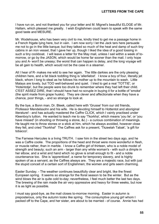I have run on, and not thanked you for your letter and M. Mignet's beautiful ELOGE of Mr. Hallam, which pleased me greatly. I wish Englishmen could learn to speak with the same good taste and MESURE.

Mr. Wodehouse, who has been very civil to me, kindly tried to get me a passage home in a French frigate lying here, but in vain. I am now sorry I let the Jack tars here persuade me not to go in the little barque; but they talked so much of the heat and damp of such tiny cabins in an iron vessel, that I gave her up, though I liked the idea of a good tossing in such a tiny cockboat. I will leave a letter for the May mail, unless I sail within a week of tomorrow, or go by the JASON, which would be home far sooner than the mail. I only hope you and A- won't be uneasy; the worst that can happen is delay, and the long voyage will be all gain to health, which would not be the case in a steamer.

All I hear of R- makes me wild to see her again. The little darkies are the only pleasing children here, and a fat black toddling thing is 'allerliebst'. I know a boy of four, literally jet black, whom I long to steal as he follows his mother up to the mountain to wash. Little Malays are lovely, but TOO well-behaved and quiet. I tried to get a real 'TOTTIE', or 'Hotentotje', but the people were too drunk to remember where they had left their child. C'EST ASSEZ DIRE, that I should have had no scruple in buying it for a bottle of 'smoke' (the spirit made from grape husks). They are clever and affectionate when they have a chance, poor things, - and so strange to look at.

By the bye, a Bonn man, Dr. Bleek, called here with 'Grusse' from our old friends, Professor Mendelssohn and his wife. He is devoting himself to Hottentot and aboriginal literature! - and has actually mastered the Caffre CLICK, which I vainly practised under Kleenboy's tuition. He wanted to teach me to say 'Tkorkha', which means 'you lie', or 'you have missed' (in shooting or throwing a stone, &c.) - a curious combination of meanings. He taught me to throw stones or a stick at him, which he always avoided, however close they fell, and cried 'Tkorkha!' The Caffres ask for a present, 'Tkzeelah Tabak', 'a gift for tobacco'.

The Farnese Hercules is a living TRUTH. I saw him in the street two days ago, and he was a Caffre coolie. The proportions of the head and throat were more wonderful in flesh, or muscle rather, than in marble. I know a Caffre girl of thirteen, who is a noble model of strength and beauty; such an arm - larger than any white woman's - with such a dimple in her elbow, and a wrist and hand which no glove is small enough to fit - and a noble countenance too. She is 'apprenticed', a name for temporary slavery, and is highly spoken of as a servant, as the Caffres always are. They are a majestic race, but with just the stupid conceit of a certain sort of Englishmen; the women and girls seem charming.

Easter Sunday. - The weather continues beautifully clear and bright, like the finest European spring. It seems so strange for the floral season to be the winter. But as the wind blows the air is quite cold to-day; nevertheless, I feel much better the last two days. The brewing of the rain made the air very oppressive and heavy for three weeks, but now it is as light as possible.

I must say good-bye, as the mail closes to-morrow morning. Easter in autumn is preposterous, only the autumn looks like spring. The consumptive young girl whom I packed off to the Cape, and her sister, are about to be married - of course. Annie has had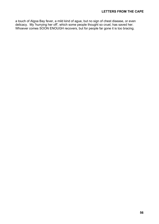a touch of Algoa Bay fever, a mild kind of ague, but no sign of chest disease, or even delicacy. My 'hurrying her off', which some people thought so cruel, has saved her. Whoever comes SOON ENOUGH recovers, but for people far gone it is too bracing.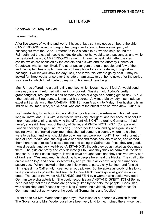#### **LETTER XIV**

<span id="page-58-0"></span>Capetown, Saturday, May 3d.

#### Dearest mother,

After five weeks of waiting and worry, I have, at last, sent my goods on board the ship CAMPERDOWN, now discharging her cargo, and about to take a small party of passengers from the Cape. I offered to take a cabin in a Swedish ship, bound for Falmouth; but the captain could not decide whether he would take a passenger; and while he hesitated the old CAMPERDOWN came in. I have the best cabin after the stern cabins, which are occupied by the captain and his wife and the Attorney-General of Capetown, who is much liked. The other passengers are quiet people, and few of them, and the captain has a high character; so I may hope for a comfortable, though slow passage. I will let you know the day I sail, and leave this letter to go by post. I may be looked for three weeks or so after this letter. I am crazy to get home now; after the period was over for which I had made up my mind, home-sickness began.

Mrs. R- has offered me a darling tiny monkey, which loves me; but I fear A- would send me away again if I returned with her in my pocket. Nassirah, old Abdool's pretty granddaughter, brought me a pair of Malay shoes or clogs as a parting gift, to-day. Mr. M- , the resident at Singapore, tells me that his secretary's wife, a Malay lady, has made an excellent translation of the ARABIAN NIGHTS, from Arabic into Malay. Her husband is an Indian Mussulman, who, Mr. M- said, was one of the ablest men he ever knew. Curious!

I sat, yesterday, for an hour, in the stall of a poor German basket-maker who had been long in Caffre-land. His wife, a Berlinerin, was very intelligent, and her account of her life here most entertaining, as showing the different ANSICHT natural to Germans. 'I had never', she said, 'been out of the city of Berlin, and KNEW NOTHING.' (Compare with London cockney, or genuine Parisian.) Thence her fear, on landing at Algoa Bay and seeing swarms of naked black men, that she had come to a country where no clothes were to be had; and what should she do when hers were worn out? They had a grant of land at Fort Peddie, and she dug while her husband made baskets of cane, and carried them hundreds of miles for sale; sleeping and eating in Caffre huts. 'Yes, they are good, honest people, and very well-bred (ANSTANDIG), though they go as naked as God made them. The girls are pretty and very delicate (FEIN), and they think no harm of it, the dear innocents.' If their cattle strayed, it was always brought back; and they received every sort of kindness. 'Yes, madam, it is shocking how people here treat the blacks. They call quite an old man 'Boy', and speak so scornfully, and yet the blacks have very nice manners, I assure you.' When I looked at the poor little wizened, pale, sickly Berliner, and fancied him a guest in a Caffre hut, it seemed an odd picture. But he spoke as coolly of his long, lonely journeys as possible, and seemed to think black friends quite as good as white ones. The use of the words ANSTANDIG and FEIN by a woman who spoke very good German were characteristic. She could recognise an 'ANSTANDIGKEIT' NOT of Berlin. I need not say that the Germans are generally liked by the coloured people. Choslullah was astonished and Pleased at my talking German; he evidently had a preference for Germans, and put up, wherever he could, at German inns and 'publics'.

I went on to bid Mrs. Wodehouse good-bye. We talked of our dear old Cornish friends. The Governor and Mrs. Wodehouse have been very kind to me. I dined there twice; last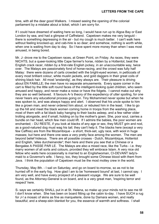time, with all the dear good Walkers. I missed seeing the opening of the colonial parliament by a mistake about a ticket, which I am sorry for.

If I could have dreamed of waiting here so long, I would have run up to Algoa Bay or East London by sea, and had a glimpse of Caffreland. Capetown makes me very languid there is something depressing in the air - but my cough is much better. I can't walk here without feeling knocked-up; and cab-hire is so dear; and somehow, nothing is worth while, when one is waiting from day to day. So I have spent more money than when I was most amused, in being bored.

Mr. J- drove me to the Capetown races, at Green Point, on Friday. As races, they were NICHTS, but a queer-looking little Cape farmer's horse, ridden by a Hottentot, beat the English crack racer, ridden by a first-rate English jockey, in an unaccountable way, twice over. The Malays are passionately fond of horse-racing, and the crowd was fully half Malay: there were dozens of carts crowded with the bright-eyed women, in petticoats of every most brilliant colour, white muslin jackets, and gold daggers in their great coils of shining black hair. All most 'anstandig', as they always are. Their pleasure is driving about EN FAMILLE; the men have no separate amusements. Every spare corner in the cart is filled by the little soft round faces of the intelligent-looking quiet children, who seem amused and happy, and never make a noise or have the fidgets. I cannot make out why they are so well behaved. It favours A-'s theory of the expediency of utter spoiling, for one never hears any educational process going on. Tiny Mohammed never spoke but when he was spoken to, and was always happy and alert. I observed that his uncle spoke to him like a grown man, and never ordered him about, or rebuked him in the least. I like to go up the hill and meet the black women coming home in troops from the washing place, most of them with a fat black baby hanging to their backs asleep, and a few rather older trotting alongside, and if small, holding on by the mother's gown. She, poor soul, carries a bundle on her head, which few men could lift. If I admire the babies, the poor women are enchanted; - DU RESTE, if you look at blacks of any age or sex, they MUST grin and nod, as a good-natured dog must wag his tail; they can't help it. The blacks here (except a very few Caffres) are from the Mozambique - a short, thick-set, ugly race, with wool in huge masses; but here and there one sees a very pretty face among the women. The men are beyond belief hideous. There are all possible crosses - Dutch, Mozambique, Hottentot and English, 'alles durcheinander'; then here and there you see that a Chinese or a Bengalee A PASSE PAR LE. The Malays are also a mixed race, like the Turks - i.e. they marry women of all sorts and colours, provided they will embrace Islam. A very nice old fellow who waits here occasionally is married to an Englishwoman, CI-DEVANT lady'smaid to a Governor's wife. I fancy, too, they brought some Chinese blood with them from Java. I think the population of Capetown must be the most motley crew in the world.

Thursday, May 8th. - I sail on Saturday, and go on board to-morrow, so as not to be hurried off in the early fog. How glad I am to be 'homeward bound' at last, I cannot say. I am very well, and have every prospect of a pleasant voyage. We are sure to be well found, as the Attorney-General is on board, and is a very great man, 'inspiring terror and respect' here.

S- says we certainly SHALL put in at St. Helena, so make up your minds not to see me till I don't know when. She has been on board fitting up the cabin to-day. I have SUCH a rug for J-! a mosaic of skins as fine as marqueterie, done by Damara women, and really beautiful; and a sheep-skin blanket for you, the essence of warmth and softness. I shall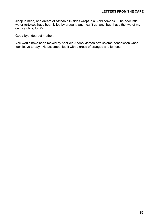sleep in mine, and dream of African hill- sides wrapt in a 'Veld combas'. The poor little water-tortoises have been killed by drought, and I can't get any, but I have the two of my own catching for M-.

Good-bye, dearest mother.

You would have been moved by poor old Abdool Jemaalee's solemn benediction when I took leave to-day. He accompanied it with a gross of oranges and lemons.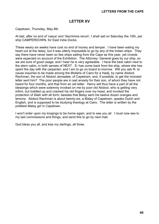## **LETTER XV**

<span id="page-61-0"></span>Capetown, Thursday, May 8th.

At last, after no end of 'casus' and 'discrimina rerum', I shall sail on Saturday the 10th, per ship CAMPERDOWN, for East India Docks.

These weary six weeks have cost no end of money and temper. I have been eating my heart out at the delay, but it was utterly impossible to go by any of the Indian ships. They say there have never been so few ships sailing from the Cape as this year, yet crowds were expected on account of the Exhibition. The Attorney- General goes by our ship, so we are sure of good usage; and I hear he is very agreeable. I have the best cabin next to the stern cabin, in both senses of NEXT. S- has come back from the ship, where she has spent the day with the carpenter; and I am to go on board to-morrow. Will you ask R- to cause inquiries to be made among the Mollahs of Cairo for a Hadji, by name Abdool Rachman, the son of Abdool Jemaalee, of Capetown, and, if possible, to get the inclosed letter sent him? The poor people are in sad anxiety for their son, of whom they have not heard for four months, and that from an old letter. Henry will thus have a part of all the blessings which were solemnly invoked on me by poor old Abdool, who is getting very infirm, but toddled up and cracked his old fingers over my head, and invoked the protection of Allah with all form; besides that Betsy sent me twelve dozen oranges and lemons. Abdool Rachman is about twenty-six, a Malay of Capetown, speaks Dutch and English, and is supposed to be studying theology at Cairo. The letter is written by the prettiest Malay girl in Capetown.

I won't enter upon my longings to be home again, and to see you all. I must now see to my last commissions and things, and send this to go by next mail.

God bless you all, and kiss my darlings, all three.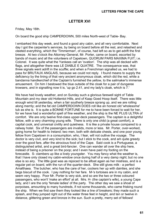## **LETTER XVI**

<span id="page-62-0"></span>Friday, May 16th.

On board the good ship CAMPERDOWN, 500 miles North-west of Table- Bay.

I embarked this day week, and found a good airy cabin, and all very comfortable. Next day I got the carpenter's services, by being on board before all the rest, and relashed and cleeted everything, which the 'Timmerman', of course, had left so as to get adrift the first breeze. At two o'clock the Attorney-General, Mr. Porter, came on board, escorted by bands of music and all the volunteers of Capetown, QUORUM PARS MAXIMA FUIT; i.e. Colonel. It was quite what the Yankees call an 'ovation'. The ship was all decked with flags, and altogether there was LE DIABLE E QUATRE. The consequence was, that three signals went adrift in the scuffle; and when a Frenchman signalled us, we had to pass for BRUTAUX ANGLAIS, because we could not reply. I found means to supply the deficiency by the lining of that very ancient anonymous cloak, which did the red, while a bandanna handkerchief of the Captain's furnished the yellow, to the sailmaker's immense amusement. On him I bestowed the blue outside of the cloak for a pair of dungaree trowsers, and in signalling now it is, 'up go 2.41, and my lady's cloak, which is 7.'

We have had lovely weather, and on Sunday such a glorious farewell sight of Table Mountain and my dear old Hottentot Hills, and of Kaap Goed Hoop itself. There was little enough wind till yesterday, when a fair southerly breeze sprang up, and we are rolling along merrily; and the fat old CAMPERDOWN DOES roll like an honest old 'wholesome' tub as she is. It is quite a BONNE FORTUNE for me to have been forced to wait for her, for we have had a wonderful spell of fine weather, and the ship is the NE PLUS ULTRA of comfort. We are only twelve first-class upper-deck passengers. The captain is a delightful fellow, with a very charming young wife. There is only one child (a great comfort), a capital cook, and universal civility and quietness. It is like a private house compared to a railway hotel. Six of the passengers are invalids, more or less. Mr. Porter, over-worked, going home for health to Ireland; two men, both with delicate chests, and one poor young fellow from Capetown in a consumption, who, I fear, will not outlive the voyage. The doctor is very civil, and very kind to the sick; but I stick to the cook, and am quite greedy over the good fare, after the atrocious food of the Cape. Said cook is a Portuguese, a distinguished artist, and a great bird-fancier. One can wander all over the ship here, instead of being a prisoner on the poop; and I even have paid my footing on the forecastle. S- clambers up like a lively youngster. You may fancy what the weather is, that I have only closed my cabin-window once during half of a very damp night; but no one else is so airy. The little goat was as rejoiced to be afloat again as her mistress, and is a regular pet on board, with the run of the quarter-deck. She still gives milk - a perfect Amalthaea. The butcher, who has the care of her, cockers her up with dainties, and she begs biscuit of the cook. I pay nothing for her fare. M-'s tortoises are in my cabin, and seem very happy. Poor Mr. Porter is very sick, and so are the two or three coloured passengers, who won't 'make an effort' at all. Mrs. H- (the captain's wife), a young Cape lady, and I are the only 'female ladies' of the party. The other day we saw a shoal of porpoises, amounting to many hundreds, if not some thousands, who came frisking round the ship. When we first saw them they looked like a line of breakers; they made such a splash, and they jumped right out of the water three feet in height, and ten or twelve in distance, glittering green and bronze in the sun. Such a pretty, merry set of fellows!